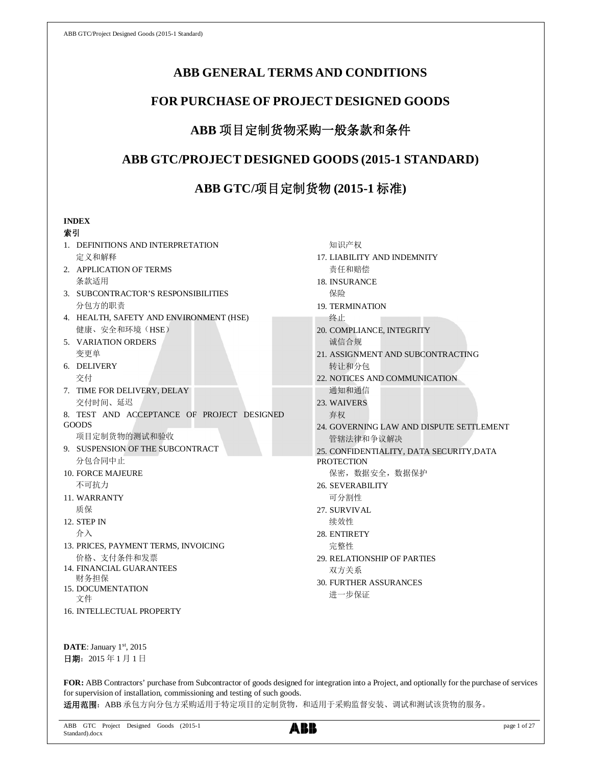# **ABB GENERAL TERMS AND CONDITIONS**

# **FOR PURCHASE OF PROJECT DESIGNED GOODS**

# **ABB** 项目定制货物采购一般条款和条件

# **ABB GTC/PROJECT DESIGNED GOODS (2015-1 STANDARD)**

# **ABB GTC/**项目定制货物 **(2015-1** 标准**)**

## **INDEX**

## 索引

- 1. DEFINITIONS AND INTERPRETATION 定义和解释
- 2. APPLICATION OF TERMS 条款适用
- 3. SUBCONTRACTOR'S RESPONSIBILITIES 分包方的职责
- 4. HEALTH, SAFETY AND ENVIRONMENT (HSE) 健康、安全和环境(HSE)
- 5. VARIATION ORDERS 变更单
- 6. DELIVERY 交付
- 7. TIME FOR DELIVERY, DELAY 交付时间、延迟
- 8. TEST AND ACCEPTANCE OF PROJECT DESIGNED GOODS

项目定制货物的测试和验收

- 9. SUSPENSION OF THE SUBCONTRACT 分包合同中止
- 10. FORCE MAJEURE 不可抗力
- 11. WARRANTY 质保
- 12. STEP IN 介入
- 13. PRICES, PAYMENT TERMS, INVOICING 价格、支付条件和发票
- 14. FINANCIAL GUARANTEES 财务担保
- 15. DOCUMENTATION 文件
- 16. INTELLECTUAL PROPERTY
- 知识产权
- 17. LIABILITY AND INDEMNITY 责任和赔偿
- 18. INSURANCE
	- 保险
- 19. TERMINATION
	- 终止
- 20. COMPLIANCE, INTEGRITY 诚信合规
- 21. ASSIGNMENT AND SUBCONTRACTING 转让和分包
- 22. NOTICES AND COMMUNICATION 通知和通信
- 23. WAIVERS 弃权
- 24. GOVERNING LAW AND DISPUTE SETTLEMENT 管辖法律和争议解决
- 25. CONFIDENTIALITY, DATA SECURITY,DATA
- **PROTECTION** 
	- 保密,数据安全,数据保护
- 26. SEVERABILITY 可分割性
- 27. SURVIVAL 续效性
- 28. ENTIRETY 完整性
- 29. RELATIONSHIP OF PARTIES 双方关系
- 30. FURTHER ASSURANCES 进一步保证

DATE: January 1st, 2015 日期: 2015年1月1日

**FOR:** ABB Contractors' purchase from Subcontractor of goods designed for integration into a Project, and optionally for the purchase of services for supervision of installation, commissioning and testing of such goods. 适用范围: ABB 承包方向分包方采购适用于特定项目的定制货物, 和适用于采购监督安装、调试和测试该货物的服务。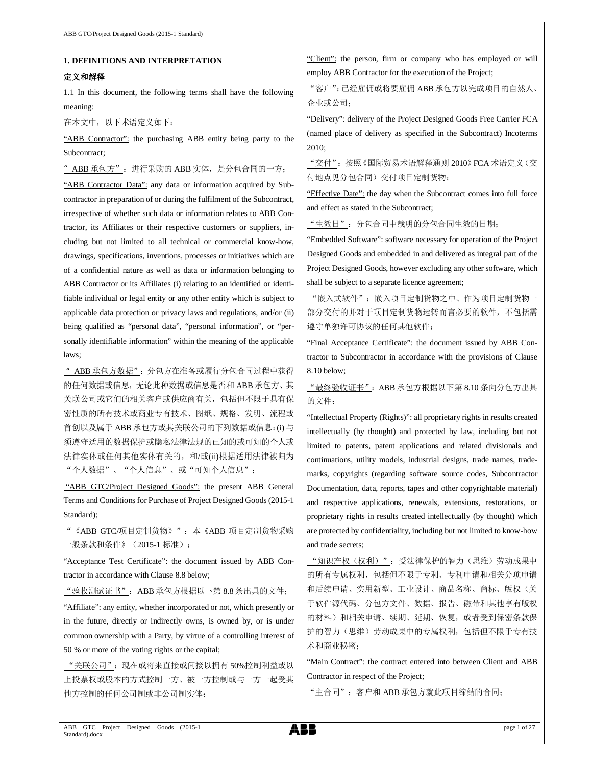### **1. DEFINITIONS AND INTERPRETATION**

### 定义和解释

1.1 In this document, the following terms shall have the following meaning:

在本文中,以下术语定义如下:

"ABB Contractor": the purchasing ABB entity being party to the Subcontract;

" ABB 承包方": 进行采购的 ABB 实体, 是分包合同的一方;

"ABB Contractor Data": any data or information acquired by Subcontractor in preparation of or during the fulfilment of the Subcontract, irrespective of whether such data or information relates to ABB Contractor, its Affiliates or their respective customers or suppliers, including but not limited to all technical or commercial know-how, drawings, specifications, inventions, processes or initiatives which are of a confidential nature as well as data or information belonging to ABB Contractor or its Affiliates (i) relating to an identified or identifiable individual or legal entity or any other entity which is subject to applicable data protection or privacy laws and regulations, and/or (ii) being qualified as "personal data", "personal information", or "personally identifiable information" within the meaning of the applicable laws;

"ABB 承包方数据":分包方在准备或履行分包合同过程中获得 的任何数据或信息,无论此种数据或信息是否和 ABB 承包方、其 关联公司或它们的相关客户或供应商有关,包括但不限于具有保 密性质的所有技术或商业专有技术、图纸、规格、发明、流程或 首创以及属于 ABB 承包方或其关联公司的下列数据或信息:(i) 与 须遵守适用的数据保护或隐私法律法规的已知的或可知的个人或 法律实体或任何其他实体有关的,和/或(ii)根据适用法律被归为 "个人数据"、"个人信息"、或"可知个人信息";

 "ABB GTC/Project Designed Goods": the present ABB General Terms and Conditions for Purchase of Project Designed Goods (2015-1 Standard);

"《ABB GTC/项目定制货物》":本《ABB 项目定制货物采购 一般条款和条件》(2015-1 标准);

"Acceptance Test Certificate": the document issued by ABB Contractor in accordance with Clause 8.8 below;

"验收测试证书":ABB 承包方根据以下第 8.8 条出具的文件;

"Affiliate": any entity, whether incorporated or not, which presently or in the future, directly or indirectly owns, is owned by, or is under common ownership with a Party, by virtue of a controlling interest of 50 % or more of the voting rights or the capital;

"关联公司":现在或将来直接或间接以拥有 50%控制利益或以 上投票权或股本的方式控制一方、被一方控制或与一方一起受其 他方控制的任何公司制或非公司制实体;

"Client": the person, firm or company who has employed or will employ ABB Contractor for the execution of the Project;

"客户":已经雇佣或将要雇佣 ABB 承包方以完成项目的自然人、 企业或公司;

"Delivery": delivery of the Project Designed Goods Free Carrier FCA (named place of delivery as specified in the Subcontract) Incoterms 2010;

"交付":按照《国际贸易术语解释通则 2010》FCA 术语定义(交 付地点见分包合同)交付项目定制货物;

"Effective Date": the day when the Subcontract comes into full force and effect as stated in the Subcontract;

"生效日":分包合同中载明的分包合同生效的日期;

"Embedded Software": software necessary for operation of the Project Designed Goods and embedded in and delivered as integral part of the Project Designed Goods, however excluding any other software, which shall be subject to a separate licence agreement;

"嵌入式软件":嵌入项目定制货物之中、作为项目定制货物一 部分交付的并对于项目定制货物运转而言必要的软件,不包括需 遵守单独许可协议的任何其他软件;

"Final Acceptance Certificate": the document issued by ABB Contractor to Subcontractor in accordance with the provisions of Clause 8.10 below;

"最终验收证书": ABB 承包方根据以下第 8.10 条向分包方出具 的文件;

"Intellectual Property (Rights)": all proprietary rights in results created intellectually (by thought) and protected by law, including but not limited to patents, patent applications and related divisionals and continuations, utility models, industrial designs, trade names, trademarks, copyrights (regarding software source codes, Subcontractor Documentation, data, reports, tapes and other copyrightable material) and respective applications, renewals, extensions, restorations, or proprietary rights in results created intellectually (by thought) which are protected by confidentiality, including but not limited to know-how and trade secrets;

"知识产权(权利)":受法律保护的智力(思维)劳动成果中 的所有专属权利,包括但不限于专利、专利申请和相关分项申请 和后续申请、实用新型、工业设计、商品名称、商标、版权(关 于软件源代码、分包方文件、数据、报告、磁带和其他享有版权 的材料)和相关申请、续期、延期、恢复,或者受到保密条款保 护的智力(思维)劳动成果中的专属权利,包括但不限于专有技 术和商业秘密;

"Main Contract": the contract entered into between Client and ABB Contractor in respect of the Project;

"主合同":客户和 ABB 承包方就此项目缔结的合同;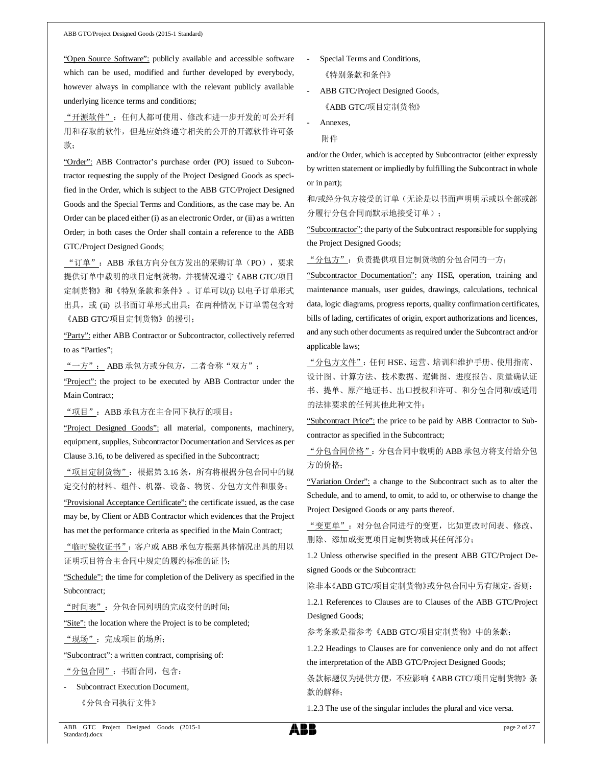"Open Source Software": publicly available and accessible software which can be used, modified and further developed by everybody, however always in compliance with the relevant publicly available underlying licence terms and conditions;

"开源软件":任何人都可使用、修改和进一步开发的可公开利 用和存取的软件,但是应始终遵守相关的公开的开源软件许可条 款;

"Order": ABB Contractor's purchase order (PO) issued to Subcontractor requesting the supply of the Project Designed Goods as specified in the Order, which is subject to the ABB GTC/Project Designed Goods and the Special Terms and Conditions, as the case may be. An Order can be placed either (i) as an electronic Order, or (ii) as a written Order; in both cases the Order shall contain a reference to the ABB GTC/Project Designed Goods;

"订单":ABB 承包方向分包方发出的采购订单(PO),要求 提供订单中载明的项目定制货物,并视情况遵守《ABB GTC/项目 定制货物》和《特别条款和条件》。订单可以(i) 以电子订单形式 出具, 或 (ii) 以书面订单形式出具; 在两种情况下订单需包含对 《ABB GTC/项目定制货物》的援引;

"Party": either ABB Contractor or Subcontractor, collectively referred to as "Parties";

"一方": ABB 承包方或分包方,二者合称"双方";

"Project": the project to be executed by ABB Contractor under the Main Contract;

"项目":ABB 承包方在主合同下执行的项目;

"Project Designed Goods": all material, components, machinery, equipment, supplies, Subcontractor Documentation and Services as per Clause 3.16, to be delivered as specified in the Subcontract;

"项目定制货物":根据第 3.16 条,所有将根据分包合同中的规 定交付的材料、组件、机器、设备、物资、分包方文件和服务;

"Provisional Acceptance Certificate": the certificate issued, as the case may be, by Client or ABB Contractor which evidences that the Project has met the performance criteria as specified in the Main Contract;

"临时验收证书":客户或 ABB 承包方根据具体情况出具的用以 证明项目符合主合同中规定的履约标准的证书;

"Schedule": the time for completion of the Delivery as specified in the Subcontract;

"时间表":分包合同列明的完成交付的时间;

"Site": the location where the Project is to be completed;

"现场":完成项目的场所;

"Subcontract": a written contract, comprising of:

"分包合同":书面合同,包含:

Subcontract Execution Document,

《分包合同执行文件》

- Special Terms and Conditions, 《特别条款和条件》
- ABB GTC/Project Designed Goods, 《ABB GTC/项目定制货物》
- Annexes,
	- 附件

and/or the Order, which is accepted by Subcontractor (either expressly by written statement or impliedly by fulfilling the Subcontract in whole or in part);

和/或经分包方接受的订单(无论是以书面声明明示或以全部或部 分履行分包合同而默示地接受订单);

"Subcontractor": the party of the Subcontract responsible for supplying the Project Designed Goods;

"分包方":负责提供项目定制货物的分包合同的一方;

"Subcontractor Documentation": any HSE, operation, training and maintenance manuals, user guides, drawings, calculations, technical data, logic diagrams, progress reports, quality confirmation certificates, bills of lading, certificates of origin, export authorizations and licences, and any such other documents as required under the Subcontract and/or applicable laws;

"分包方文件": 任何 HSE、运营、培训和维护手册、使用指南、 设计图、计算方法、技术数据、逻辑图、进度报告、质量确认证 书、提单、原产地证书、出口授权和许可、和分包合同和/或适用 的法律要求的任何其他此种文件;

"Subcontract Price": the price to be paid by ABB Contractor to Subcontractor as specified in the Subcontract;

"分包合同价格": 分包合同中载明的 ABB 承包方将支付给分包 方的价格;

"Variation Order": a change to the Subcontract such as to alter the Schedule, and to amend, to omit, to add to, or otherwise to change the Project Designed Goods or any parts thereof.

"变更单":对分包合同进行的变更,比如更改时间表、修改、 删除、添加或变更项目定制货物或其任何部分;

1.2 Unless otherwise specified in the present ABB GTC/Project Designed Goods or the Subcontract:

除非本《ABB GTC/项目定制货物》或分包合同中另有规定,否则:

1.2.1 References to Clauses are to Clauses of the ABB GTC/Project Designed Goods;

参考条款是指参考《ABB GTC/项目定制货物》中的条款;

1.2.2 Headings to Clauses are for convenience only and do not affect the interpretation of the ABB GTC/Project Designed Goods;

条款标题仅为提供方便,不应影响《ABB GTC/项目定制货物》条 款的解释;

1.2.3 The use of the singular includes the plural and vice versa.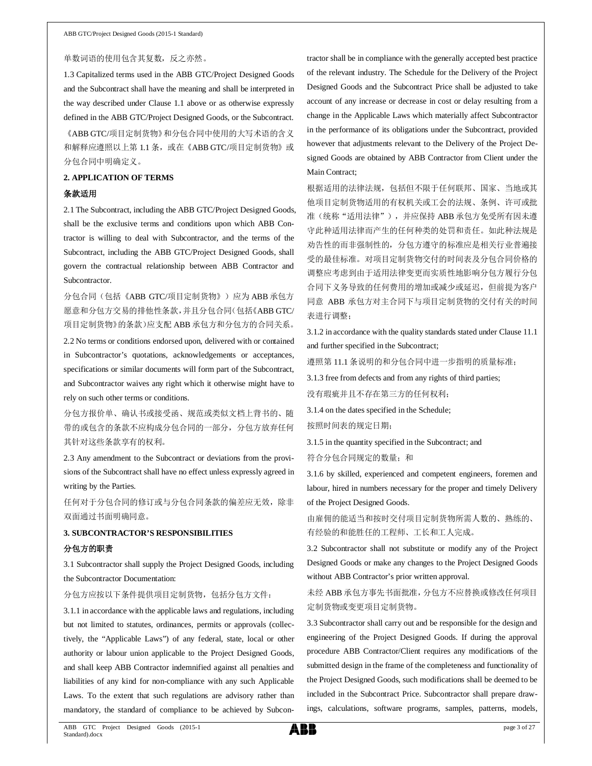#### 单数词语的使用包含其复数,反之亦然。

1.3 Capitalized terms used in the ABB GTC/Project Designed Goods and the Subcontract shall have the meaning and shall be interpreted in the way described under Clause 1.1 above or as otherwise expressly defined in the ABB GTC/Project Designed Goods, or the Subcontract.

《ABB GTC/项目定制货物》和分包合同中使用的大写术语的含义 和解释应遵照以上第 1.1 条, 或在《ABB GTC/项目定制货物》或 分包合同中明确定义。

### **2. APPLICATION OF TERMS**

### 条款适用

2.1 The Subcontract, including the ABB GTC/Project Designed Goods, shall be the exclusive terms and conditions upon which ABB Contractor is willing to deal with Subcontractor, and the terms of the Subcontract, including the ABB GTC/Project Designed Goods, shall govern the contractual relationship between ABB Contractor and Subcontractor.

分包合同(包括《ABB GTC/项目定制货物》)应为 ABB 承包方 愿意和分包方交易的排他性条款,并且分包合同(包括《ABB GTC/ 项目定制货物》的条款)应支配 ABB 承包方和分包方的合同关系。

2.2 No terms or conditions endorsed upon, delivered with or contained in Subcontractor's quotations, acknowledgements or acceptances, specifications or similar documents will form part of the Subcontract, and Subcontractor waives any right which it otherwise might have to rely on such other terms or conditions.

分包方报价单、确认书或接受函、规范或类似文档上背书的、随 带的或包含的条款不应构成分包合同的一部分,分包方放弃任何 其针对这些条款享有的权利。

2.3 Any amendment to the Subcontract or deviations from the provisions of the Subcontract shall have no effect unless expressly agreed in writing by the Parties.

任何对于分包合同的修订或与分包合同条款的偏差应无效,除非 双面通过书面明确同意。

# **3. SUBCONTRACTOR'S RESPONSIBILITIES** 分包方的职责

3.1 Subcontractor shall supply the Project Designed Goods, including the Subcontractor Documentation:

分包方应按以下条件提供项目定制货物,包括分包方文件:

3.1.1 in accordance with the applicable laws and regulations, including but not limited to statutes, ordinances, permits or approvals (collectively, the "Applicable Laws") of any federal, state, local or other authority or labour union applicable to the Project Designed Goods, and shall keep ABB Contractor indemnified against all penalties and liabilities of any kind for non-compliance with any such Applicable Laws. To the extent that such regulations are advisory rather than mandatory, the standard of compliance to be achieved by Subcon-

tractor shall be in compliance with the generally accepted best practice of the relevant industry. The Schedule for the Delivery of the Project Designed Goods and the Subcontract Price shall be adjusted to take account of any increase or decrease in cost or delay resulting from a change in the Applicable Laws which materially affect Subcontractor in the performance of its obligations under the Subcontract, provided however that adjustments relevant to the Delivery of the Project Designed Goods are obtained by ABB Contractor from Client under the Main Contract;

根据适用的法律法规,包括但不限于任何联邦、国家、当地或其 他项目定制货物适用的有权机关或工会的法规、条例、许可或批 准(统称"适用法律"), 并应保持 ABB 承包方免受所有因未遵 守此种适用法律而产生的任何种类的处罚和责任。如此种法规是 劝告性的而非强制性的,分包方遵守的标准应是相关行业普遍接 受的最佳标准。对项目定制货物交付的时间表及分包合同价格的 调整应考虑到由于适用法律变更而实质性地影响分包方履行分包 合同下义务导致的任何费用的增加或减少或延迟,但前提为客户 同意 ABB 承包方对主合同下与项目定制货物的交付有关的时间 表进行调整;

3.1.2 in accordance with the quality standards stated under Clause 11.1 and further specified in the Subcontract;

遵照第 11.1 条说明的和分包合同中进一步指明的质量标准;

3.1.3 free from defects and from any rights of third parties;

没有瑕疵并且不存在第三方的任何权利;

3.1.4 on the dates specified in the Schedule; 按照时间表的规定日期;

3.1.5 in the quantity specified in the Subcontract; and

符合分包合同规定的数量;和

3.1.6 by skilled, experienced and competent engineers, foremen and labour, hired in numbers necessary for the proper and timely Delivery of the Project Designed Goods.

由雇佣的能适当和按时交付项目定制货物所需人数的、熟练的、 有经验的和能胜任的工程师、工长和工人完成。

3.2 Subcontractor shall not substitute or modify any of the Project Designed Goods or make any changes to the Project Designed Goods without ABB Contractor's prior written approval.

未经 ABB 承包方事先书面批准,分包方不应替换或修改任何项目 定制货物或变更项目定制货物。

3.3 Subcontractor shall carry out and be responsible for the design and engineering of the Project Designed Goods. If during the approval procedure ABB Contractor/Client requires any modifications of the submitted design in the frame of the completeness and functionality of the Project Designed Goods, such modifications shall be deemed to be included in the Subcontract Price. Subcontractor shall prepare drawings, calculations, software programs, samples, patterns, models,

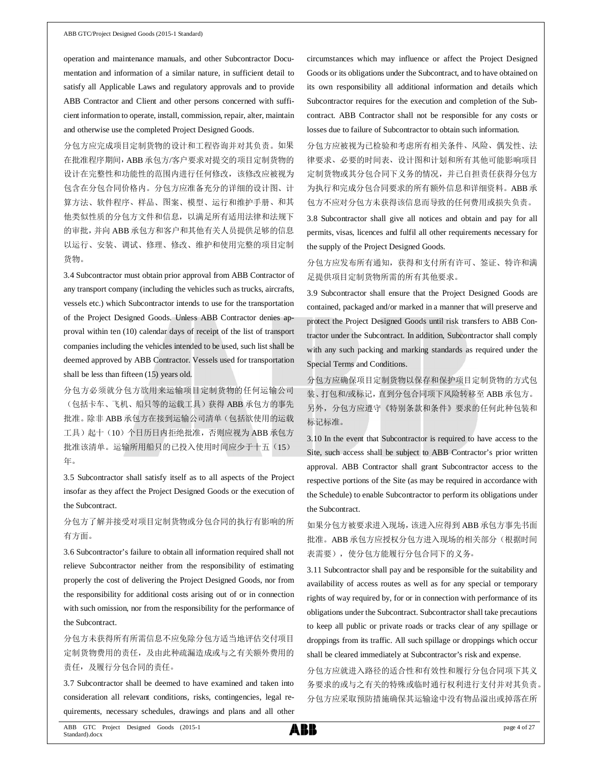operation and maintenance manuals, and other Subcontractor Documentation and information of a similar nature, in sufficient detail to satisfy all Applicable Laws and regulatory approvals and to provide ABB Contractor and Client and other persons concerned with sufficient information to operate, install, commission, repair, alter, maintain and otherwise use the completed Project Designed Goods.

分包方应完成项目定制货物的设计和工程咨询并对其负责。如果 在批准程序期间,ABB 承包方/客户要求对提交的项目定制货物的 设计在完整性和功能性的范围内进行任何修改,该修改应被视为 包含在分包合同价格内。分包方应准备充分的详细的设计图、计 算方法、软件程序、样品、图案、模型、运行和维护手册、和其 他类似性质的分包方文件和信息,以满足所有适用法律和法规下 的审批,并向 ABB 承包方和客户和其他有关人员提供足够的信息 以运行、安装、调试、修理、修改、维护和使用完整的项目定制 货物。

3.4 Subcontractor must obtain prior approval from ABB Contractor of any transport company (including the vehicles such as trucks, aircrafts, vessels etc.) which Subcontractor intends to use for the transportation of the Project Designed Goods. Unless ABB Contractor denies approval within ten (10) calendar days of receipt of the list of transport companies including the vehicles intended to be used, such list shall be deemed approved by ABB Contractor. Vessels used for transportation shall be less than fifteen (15) years old.

分包方必须就分包方欲用来运输项目定制货物的任何运输公司 (包括卡车、飞机、船只等的运载工具)获得 ABB 承包方的事先 批准。除非 ABB 承包方在接到运输公司清单(包括欲使用的运载 工具)起十(10)个日历日内拒绝批准,否则应视为 ABB 承包方 批准该清单。运输所用船只的已投入使用时间应少于十五(15) 年。

3.5 Subcontractor shall satisfy itself as to all aspects of the Project insofar as they affect the Project Designed Goods or the execution of the Subcontract.

分包方了解并接受对项目定制货物或分包合同的执行有影响的所 有方面。

3.6 Subcontractor's failure to obtain all information required shall not relieve Subcontractor neither from the responsibility of estimating properly the cost of delivering the Project Designed Goods, nor from the responsibility for additional costs arising out of or in connection with such omission, nor from the responsibility for the performance of the Subcontract.

分包方未获得所有所需信息不应免除分包方适当地评估交付项目 定制货物费用的责任,及由此种疏漏造成或与之有关额外费用的 责任,及履行分包合同的责任。

3.7 Subcontractor shall be deemed to have examined and taken into consideration all relevant conditions, risks, contingencies, legal requirements, necessary schedules, drawings and plans and all other

circumstances which may influence or affect the Project Designed Goods or its obligations under the Subcontract, and to have obtained on its own responsibility all additional information and details which Subcontractor requires for the execution and completion of the Subcontract. ABB Contractor shall not be responsible for any costs or losses due to failure of Subcontractor to obtain such information.

分包方应被视为已检验和考虑所有相关条件、风险、偶发性、法 律要求、必要的时间表、设计图和计划和所有其他可能影响项目 定制货物或其分包合同下义务的情况,并已自担责任获得分包方 为执行和完成分包合同要求的所有额外信息和详细资料。ABB 承 包方不应对分包方未获得该信息而导致的任何费用或损失负责。

3.8 Subcontractor shall give all notices and obtain and pay for all permits, visas, licences and fulfil all other requirements necessary for the supply of the Project Designed Goods.

分包方应发布所有通知,获得和支付所有许可、签证、特许和满 足提供项目定制货物所需的所有其他要求。

3.9 Subcontractor shall ensure that the Project Designed Goods are contained, packaged and/or marked in a manner that will preserve and protect the Project Designed Goods until risk transfers to ABB Contractor under the Subcontract. In addition, Subcontractor shall comply with any such packing and marking standards as required under the Special Terms and Conditions.

分包方应确保项目定制货物以保存和保护项目定制货物的方式包 装、打包和/或标记,直到分包合同项下风险转移至 ABB 承包方。

另外,分包方应遵守《特别条款和条件》要求的任何此种包装和 标记标准。

3.10 In the event that Subcontractor is required to have access to the Site, such access shall be subject to ABB Contractor's prior written approval. ABB Contractor shall grant Subcontractor access to the respective portions of the Site (as may be required in accordance with the Schedule) to enable Subcontractor to perform its obligations under the Subcontract.

如果分包方被要求进入现场,该进入应得到 ABB 承包方事先书面 批准。ABB 承包方应授权分包方进入现场的相关部分(根据时间 表需要),使分包方能履行分包合同下的义务。

3.11 Subcontractor shall pay and be responsible for the suitability and availability of access routes as well as for any special or temporary rights of way required by, for or in connection with performance of its obligations under the Subcontract. Subcontractor shall take precautions to keep all public or private roads or tracks clear of any spillage or droppings from its traffic. All such spillage or droppings which occur shall be cleared immediately at Subcontractor's risk and expense.

分包方应就进入路径的适合性和有效性和履行分包合同项下其义 务要求的或与之有关的特殊或临时通行权利进行支付并对其负责。 分包方应采取预防措施确保其运输途中没有物品溢出或掉落在所

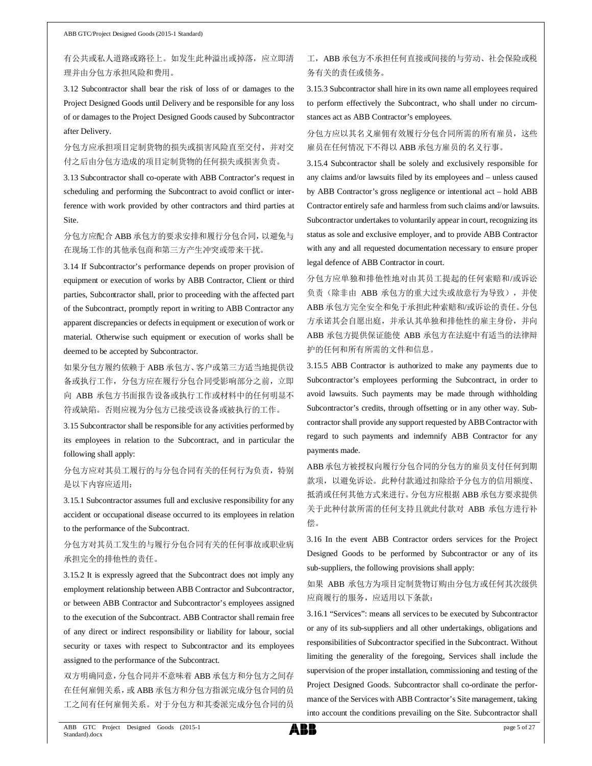有公共或私人道路或路径上。如发生此种溢出或掉落,应立即清 理并由分包方承担风险和费用。

3.12 Subcontractor shall bear the risk of loss of or damages to the Project Designed Goods until Delivery and be responsible for any loss of or damages to the Project Designed Goods caused by Subcontractor after Delivery.

分包方应承担项目定制货物的损失或损害风险直至交付,并对交 付之后由分包方造成的项目定制货物的任何损失或损害负责。

3.13 Subcontractor shall co-operate with ABB Contractor's request in scheduling and performing the Subcontract to avoid conflict or interference with work provided by other contractors and third parties at Site.

分包方应配合 ABB 承包方的要求安排和履行分包合同,以避免与 在现场工作的其他承包商和第三方产生冲突或带来干扰。

3.14 If Subcontractor's performance depends on proper provision of equipment or execution of works by ABB Contractor, Client or third parties, Subcontractor shall, prior to proceeding with the affected part of the Subcontract, promptly report in writing to ABB Contractor any apparent discrepancies or defects in equipment or execution of work or material. Otherwise such equipment or execution of works shall be deemed to be accepted by Subcontractor.

如果分包方履约依赖于 ABB 承包方、客户或第三方适当地提供设 备或执行工作,分包方应在履行分包合同受影响部分之前,立即 向 ABB 承包方书面报告设备或执行工作或材料中的任何明显不 符或缺陷。否则应视为分包方已接受该设备或被执行的工作。

3.15 Subcontractor shall be responsible for any activities performed by its employees in relation to the Subcontract, and in particular the following shall apply:

分包方应对其员工履行的与分包合同有关的任何行为负责,特别 是以下内容应适用:

3.15.1 Subcontractor assumes full and exclusive responsibility for any accident or occupational disease occurred to its employees in relation to the performance of the Subcontract.

分包方对其员工发生的与履行分包合同有关的任何事故或职业病 承担完全的排他性的责任。

3.15.2 It is expressly agreed that the Subcontract does not imply any employment relationship between ABB Contractor and Subcontractor, or between ABB Contractor and Subcontractor's employees assigned to the execution of the Subcontract. ABB Contractor shall remain free of any direct or indirect responsibility or liability for labour, social security or taxes with respect to Subcontractor and its employees assigned to the performance of the Subcontract.

双方明确同意,分包合同并不意味着 ABB 承包方和分包方之间存 在任何雇佣关系,或 ABB 承包方和分包方指派完成分包合同的员 工之间有任何雇佣关系。对于分包方和其委派完成分包合同的员

## 工, ABB 承包方不承担任何直接或间接的与劳动、社会保险或税 务有关的责任或债务。

3.15.3 Subcontractor shall hire in its own name all employees required to perform effectively the Subcontract, who shall under no circumstances act as ABB Contractor's employees.

分包方应以其名义雇佣有效履行分包合同所需的所有雇员,这些 雇员在任何情况下不得以 ABB 承包方雇员的名义行事。

3.15.4 Subcontractor shall be solely and exclusively responsible for any claims and/or lawsuits filed by its employees and – unless caused by ABB Contractor's gross negligence or intentional act – hold ABB Contractor entirely safe and harmless from such claims and/or lawsuits. Subcontractor undertakes to voluntarily appear in court, recognizing its status as sole and exclusive employer, and to provide ABB Contractor with any and all requested documentation necessary to ensure proper legal defence of ABB Contractor in court.

分包方应单独和排他性地对由其员工提起的任何索赔和/或诉讼 负责(除非由 ABB 承包方的重大过失或故意行为导致), 并使 ABB 承包方完全安全和免于承担此种索赔和/或诉讼的责任。分包 方承诺其会自愿出庭,并承认其单独和排他性的雇主身份,并向 ABB 承包方提供保证能使 ABB 承包方在法庭中有适当的法律辩 护的任何和所有所需的文件和信息。

3.15.5 ABB Contractor is authorized to make any payments due to Subcontractor's employees performing the Subcontract, in order to avoid lawsuits. Such payments may be made through withholding Subcontractor's credits, through offsetting or in any other way. Subcontractor shall provide any support requested by ABB Contractor with regard to such payments and indemnify ABB Contractor for any payments made.

ABB承包方被授权向履行分包合同的分包方的雇员支付任何到期 款项,以避免诉讼。此种付款通过扣除给予分包方的信用额度、 抵消或任何其他方式来进行。分包方应根据 ABB 承包方要求提供 关于此种付款所需的任何支持且就此付款对 ABB 承包方进行补 偿。

3.16 In the event ABB Contractor orders services for the Project Designed Goods to be performed by Subcontractor or any of its sub-suppliers, the following provisions shall apply:

如果 ABB 承包方为项目定制货物订购由分包方或任何其次级供 应商履行的服务,应适用以下条款:

3.16.1 "Services": means all services to be executed by Subcontractor or any of its sub-suppliers and all other undertakings, obligations and responsibilities of Subcontractor specified in the Subcontract. Without limiting the generality of the foregoing, Services shall include the supervision of the proper installation, commissioning and testing of the Project Designed Goods. Subcontractor shall co-ordinate the performance of the Services with ABB Contractor's Site management, taking into account the conditions prevailing on the Site. Subcontractor shall

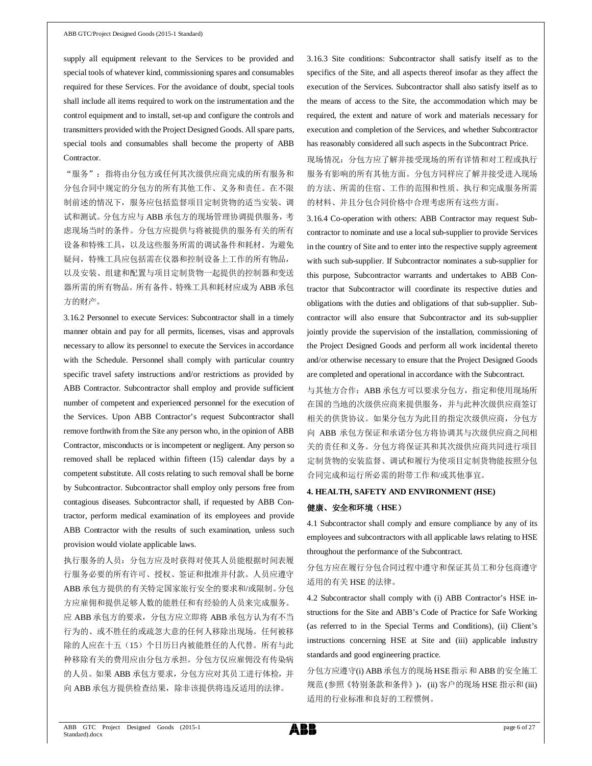supply all equipment relevant to the Services to be provided and special tools of whatever kind, commissioning spares and consumables required for these Services. For the avoidance of doubt, special tools shall include all items required to work on the instrumentation and the control equipment and to install, set-up and configure the controls and transmitters provided with the Project Designed Goods. All spare parts, special tools and consumables shall become the property of ABB Contractor.

"服务":指将由分包方或任何其次级供应商完成的所有服务和 分包合同中规定的分包方的所有其他工作、义务和责任。在不限 制前述的情况下,服务应包括监督项目定制货物的适当安装、调 试和测试。分包方应与 ABB 承包方的现场管理协调提供服务,考 虑现场当时的条件。分包方应提供与将被提供的服务有关的所有 设备和特殊工具,以及这些服务所需的调试备件和耗材。为避免 疑问,特殊工具应包括需在仪器和控制设备上工作的所有物品, 以及安装、组建和配置与项目定制货物一起提供的控制器和变送 器所需的所有物品。所有备件、特殊工具和耗材应成为 ABB 承包 方的财产。

3.16.2 Personnel to execute Services: Subcontractor shall in a timely manner obtain and pay for all permits, licenses, visas and approvals necessary to allow its personnel to execute the Services in accordance with the Schedule. Personnel shall comply with particular country specific travel safety instructions and/or restrictions as provided by ABB Contractor. Subcontractor shall employ and provide sufficient number of competent and experienced personnel for the execution of the Services. Upon ABB Contractor's request Subcontractor shall remove forthwith from the Site any person who, in the opinion of ABB Contractor, misconducts or is incompetent or negligent. Any person so removed shall be replaced within fifteen (15) calendar days by a competent substitute. All costs relating to such removal shall be borne by Subcontractor. Subcontractor shall employ only persons free from contagious diseases. Subcontractor shall, if requested by ABB Contractor, perform medical examination of its employees and provide ABB Contractor with the results of such examination, unless such provision would violate applicable laws.

执行服务的人员:分包方应及时获得对使其人员能根据时间表履 行服务必要的所有许可、授权、签证和批准并付款。人员应遵守 ABB 承包方提供的有关特定国家旅行安全的要求和/或限制。分包 方应雇佣和提供足够人数的能胜任和有经验的人员来完成服务。 应 ABB 承包方的要求,分包方应立即将 ABB 承包方认为有不当 行为的、或不胜任的或疏忽大意的任何人移除出现场。任何被移 除的人应在十五(15)个日历日内被能胜任的人代替。所有与此 种移除有关的费用应由分包方承担。分包方仅应雇佣没有传染病 的人员。如果 ABB 承包方要求,分包方应对其员工进行体检,并 向 ABB 承包方提供检查结果,除非该提供将违反适用的法律。

3.16.3 Site conditions: Subcontractor shall satisfy itself as to the specifics of the Site, and all aspects thereof insofar as they affect the execution of the Services. Subcontractor shall also satisfy itself as to the means of access to the Site, the accommodation which may be required, the extent and nature of work and materials necessary for execution and completion of the Services, and whether Subcontractor has reasonably considered all such aspects in the Subcontract Price.

现场情况:分包方应了解并接受现场的所有详情和对工程或执行 服务有影响的所有其他方面。分包方同样应了解并接受进入现场 的方法、所需的住宿、工作的范围和性质、执行和完成服务所需 的材料、并且分包合同价格中合理考虑所有这些方面。

3.16.4 Co-operation with others: ABB Contractor may request Subcontractor to nominate and use a local sub-supplier to provide Services in the country of Site and to enter into the respective supply agreement with such sub-supplier. If Subcontractor nominates a sub-supplier for this purpose, Subcontractor warrants and undertakes to ABB Contractor that Subcontractor will coordinate its respective duties and obligations with the duties and obligations of that sub-supplier. Subcontractor will also ensure that Subcontractor and its sub-supplier jointly provide the supervision of the installation, commissioning of the Project Designed Goods and perform all work incidental thereto and/or otherwise necessary to ensure that the Project Designed Goods are completed and operational in accordance with the Subcontract.

与其他方合作: ABB 承包方可以要求分包方, 指定和使用现场所 在国的当地的次级供应商来提供服务,并与此种次级供应商签订 相关的供货协议。如果分包方为此目的指定次级供应商,分包方 向 ABB 承包方保证和承诺分包方将协调其与次级供应商之间相 关的责任和义务。分包方将保证其和其次级供应商共同进行项目 定制货物的安装监督、调试和履行为使项目定制货物能按照分包 合同完成和运行所必需的附带工作和/或其他事宜。

# **4. HEALTH, SAFETY AND ENVIRONMENT (HSE)** 健康、安全和环境(**HSE**)

4.1 Subcontractor shall comply and ensure compliance by any of its employees and subcontractors with all applicable laws relating to HSE throughout the performance of the Subcontract.

分包方应在履行分包合同过程中遵守和保证其员工和分包商遵守 适用的有关 HSE 的法律。

4.2 Subcontractor shall comply with (i) ABB Contractor's HSE instructions for the Site and ABB's Code of Practice for Safe Working (as referred to in the Special Terms and Conditions), (ii) Client's instructions concerning HSE at Site and (iii) applicable industry standards and good engineering practice.

分包方应遵守(i) ABB 承包方的现场 HSE指示 和 ABB 的安全施工 规范 (参照《特别条款和条件》), (ii) 客户的现场 HSE 指示和 (iii) 适用的行业标准和良好的工程惯例。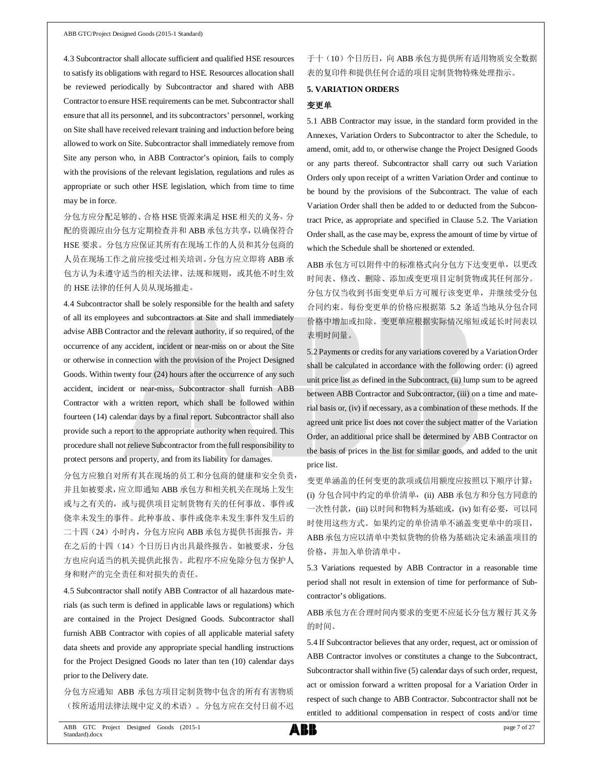4.3 Subcontractor shall allocate sufficient and qualified HSE resources to satisfy its obligations with regard to HSE. Resources allocation shall be reviewed periodically by Subcontractor and shared with ABB Contractor to ensure HSE requirements can be met. Subcontractor shall ensure that all its personnel, and its subcontractors' personnel, working on Site shall have received relevant training and induction before being allowed to work on Site. Subcontractor shall immediately remove from Site any person who, in ABB Contractor's opinion, fails to comply with the provisions of the relevant legislation, regulations and rules as appropriate or such other HSE legislation, which from time to time may be in force.

分包方应分配足够的、合格 HSE 资源来满足 HSE 相关的义务。分 配的资源应由分包方定期检查并和 ABB 承包方共享,以确保符合 HSE 要求。分包方应保证其所有在现场工作的人员和其分包商的 人员在现场工作之前应接受过相关培训。分包方应立即将 ABB 承 包方认为未遵守适当的相关法律、法规和规则,或其他不时生效 的 HSE 法律的任何人员从现场撤走。

4.4 Subcontractor shall be solely responsible for the health and safety of all its employees and subcontractors at Site and shall immediately advise ABB Contractor and the relevant authority, if so required, of the occurrence of any accident, incident or near-miss on or about the Site or otherwise in connection with the provision of the Project Designed Goods. Within twenty four (24) hours after the occurrence of any such accident, incident or near-miss, Subcontractor shall furnish ABB Contractor with a written report, which shall be followed within fourteen (14) calendar days by a final report. Subcontractor shall also provide such a report to the appropriate authority when required. This procedure shall not relieve Subcontractor from the full responsibility to protect persons and property, and from its liability for damages.

分包方应独自对所有其在现场的员工和分包商的健康和安全负责, 并且如被要求,应立即通知 ABB 承包方和相关机关在现场上发生 或与之有关的,或与提供项目定制货物有关的任何事故、事件或 侥幸未发生的事件。此种事故、事件或侥幸未发生事件发生后的 二十四(24)小时内, 分包方应向 ABB 承包方提供书面报告, 并 在之后的十四(14)个日历日内出具最终报告。如被要求,分包 方也应向适当的机关提供此报告。此程序不应免除分包方保护人 身和财产的完全责任和对损失的责任。

4.5 Subcontractor shall notify ABB Contractor of all hazardous materials (as such term is defined in applicable laws or regulations) which are contained in the Project Designed Goods. Subcontractor shall furnish ABB Contractor with copies of all applicable material safety data sheets and provide any appropriate special handling instructions for the Project Designed Goods no later than ten (10) calendar days prior to the Delivery date.

分包方应通知 ABB 承包方项目定制货物中包含的所有有害物质 (按所适用法律法规中定义的术语)。分包方应在交付日前不迟

# 于十(10)个日历日,向 ABB 承包方提供所有适用物质安全数据 表的复印件和提供任何合适的项目定制货物特殊处理指示。

### **5. VARIATION ORDERS**

### 变更单

5.1 ABB Contractor may issue, in the standard form provided in the Annexes, Variation Orders to Subcontractor to alter the Schedule, to amend, omit, add to, or otherwise change the Project Designed Goods or any parts thereof. Subcontractor shall carry out such Variation Orders only upon receipt of a written Variation Order and continue to be bound by the provisions of the Subcontract. The value of each Variation Order shall then be added to or deducted from the Subcontract Price, as appropriate and specified in Clause 5.2. The Variation Order shall, as the case may be, express the amount of time by virtue of which the Schedule shall be shortened or extended.

ABB 承包方可以附件中的标准格式向分包方下达变更单, 以更改 时间表、修改、删除、添加或变更项目定制货物或其任何部分。 分包方仅当收到书面变更单后方可履行该变更单,并继续受分包 合同约束。每份变更单的价格应根据第 5.2 条适当地从分包合同 价格中增加或扣除。变更单应根据实际情况缩短或延长时间表以 表明时间量。

5.2 Payments or credits for any variations covered by a Variation Order shall be calculated in accordance with the following order: (i) agreed unit price list as defined in the Subcontract, (ii) lump sum to be agreed between ABB Contractor and Subcontractor, (iii) on a time and material basis or, (iv) if necessary, as a combination of these methods. If the agreed unit price list does not cover the subject matter of the Variation Order, an additional price shall be determined by ABB Contractor on the basis of prices in the list for similar goods, and added to the unit price list.

变更单涵盖的任何变更的款项或信用额度应按照以下顺序计算: (i) 分包合同中约定的单价清单, (ii) ABB 承包方和分包方同意的 一次性付款,(iii) 以时间和物料为基础或,(iv) 如有必要,可以同 时使用这些方式。如果约定的单价清单不涵盖变更单中的项目, ABB承包方应以清单中类似货物的价格为基础决定未涵盖项目的 价格,并加入单价清单中。

5.3 Variations requested by ABB Contractor in a reasonable time period shall not result in extension of time for performance of Subcontractor's obligations.

ABB承包方在合理时间内要求的变更不应延长分包方履行其义务 的时间。

5.4 If Subcontractor believes that any order, request, act or omission of ABB Contractor involves or constitutes a change to the Subcontract, Subcontractor shall within five (5) calendar days of such order, request, act or omission forward a written proposal for a Variation Order in respect of such change to ABB Contractor. Subcontractor shall not be entitled to additional compensation in respect of costs and/or time

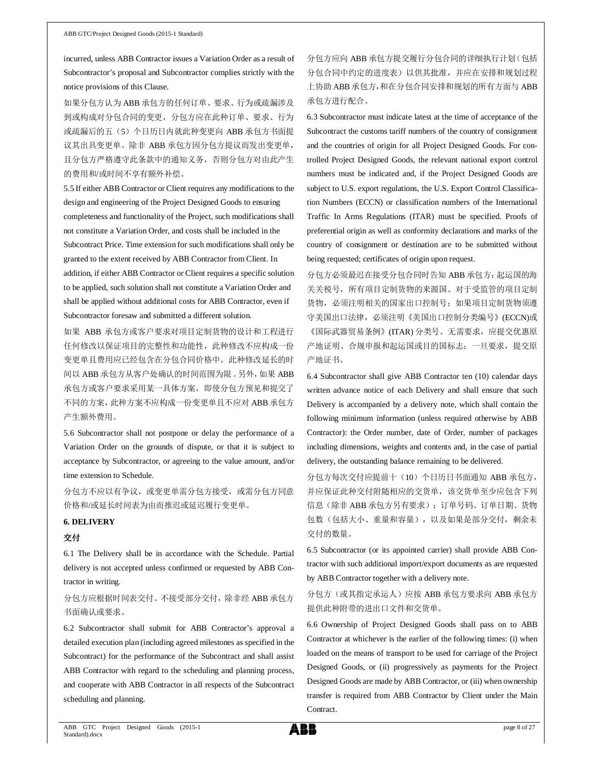incurred, unless ABB Contractor issues a Variation Order as a result of Subcontractor's proposal and Subcontractor complies strictly with the notice provisions of this Clause.

如果分包方认为 ABB 承包方的任何订单、要求、行为或疏漏涉及 到或构成对分包合同的变更,分包方应在此种订单、要求、行为 或疏漏后的五(5)个日历日内就此种变更向 ABB 承包方书面提 议其出具变更单。除非 ABB 承包方因分包方提议而发出变更单, 且分包方严格遵守此条款中的通知义务,否则分包方对由此产生 的费用和/或时间不享有额外补偿。

5.5 If either ABB Contractor or Client requires any modifications to the design and engineering of the Project Designed Goods to ensuring completeness and functionality of the Project, such modifications shall not constitute a Variation Order, and costs shall be included in the Subcontract Price. Time extension for such modifications shall only be granted to the extent received by ABB Contractor from Client. In addition, if either ABB Contractor or Client requires a specific solution to be applied, such solution shall not constitute a Variation Order and shall be applied without additional costs for ABB Contractor, even if Subcontractor foresaw and submitted a different solution.

如果 ABB 承包方或客户要求对项目定制货物的设计和工程进行 任何修改以保证项目的完整性和功能性,此种修改不应构成一份 变更单且费用应已经包含在分包合同价格中。此种修改延长的时 间以 ABB 承包方从客户处确认的时间范围为限。另外,如果 ABB 承包方或客户要求采用某一具体方案,即使分包方预见和提交了 不同的方案,此种方案不应构成一份变更单且不应对 ABB 承包方 产生额外费用。

5.6 Subcontractor shall not postpone or delay the performance of a Variation Order on the grounds of dispute, or that it is subject to acceptance by Subcontractor, or agreeing to the value amount, and/or time extension to Schedule.

分包方不应以有争议,或变更单需分包方接受,或需分包方同意 价格和/或延长时间表为由而推迟或延迟履行变更单。

### **6. DELIVERY**

### 交付

6.1 The Delivery shall be in accordance with the Schedule. Partial delivery is not accepted unless confirmed or requested by ABB Contractor in writing.

分包方应根据时间表交付。不接受部分交付,除非经 ABB 承包方 书面确认或要求。

6.2 Subcontractor shall submit for ABB Contractor's approval a detailed execution plan (including agreed milestones as specified in the Subcontract) for the performance of the Subcontract and shall assist ABB Contractor with regard to the scheduling and planning process, and cooperate with ABB Contractor in all respects of the Subcontract scheduling and planning.

分包方应向 ABB 承包方提交履行分包合同的详细执行计划(包括 分包合同中约定的进度表)以供其批准,并应在安排和规划过程 上协助 ABB 承包方,和在分包合同安排和规划的所有方面与 ABB 承包方进行配合。

6.3 Subcontractor must indicate latest at the time of acceptance of the Subcontract the customs tariff numbers of the country of consignment and the countries of origin for all Project Designed Goods. For controlled Project Designed Goods, the relevant national export control numbers must be indicated and, if the Project Designed Goods are subject to U.S. export regulations, the U.S. Export Control Classification Numbers (ECCN) or classification numbers of the International Traffic In Arms Regulations (ITAR) must be specified. Proofs of preferential origin as well as conformity declarations and marks of the country of consignment or destination are to be submitted without being requested; certificates of origin upon request.

分包方必须最迟在接受分包合同时告知 ABB 承包方:起运国的海 关关税号,所有项目定制货物的来源国。对于受监管的项目定制 货物,必须注明相关的国家出口控制号;如果项目定制货物须遵 守美国出口法律,必须注明《美国出口控制分类编号》(ECCN)或 《国际武器贸易条例》(ITAR) 分类号。无需要求,应提交优惠原 产地证明、合规申报和起运国或目的国标志;一旦要求,提交原 产地证书。

6.4 Subcontractor shall give ABB Contractor ten (10) calendar days written advance notice of each Delivery and shall ensure that such Delivery is accompanied by a delivery note, which shall contain the following minimum information (unless required otherwise by ABB Contractor): the Order number, date of Order, number of packages including dimensions, weights and contents and, in the case of partial delivery, the outstanding balance remaining to be delivered.

分包方每次交付应提前十(10)个日历日书面通知 ABB 承包方, 并应保证此种交付附随相应的交货单,该交货单至少应包含下列 信息(除非 ABB 承包方另有要求): 订单号码、订单日期、货物 包数(包括大小、重量和容量),以及如果是部分交付,剩余未 交付的数量。

6.5 Subcontractor (or its appointed carrier) shall provide ABB Contractor with such additional import/export documents as are requested by ABB Contractor together with a delivery note.

分包方(或其指定承运人)应按 ABB 承包方要求向 ABB 承包方 提供此种附带的进出口文件和交货单。

6.6 Ownership of Project Designed Goods shall pass on to ABB Contractor at whichever is the earlier of the following times: (i) when loaded on the means of transport to be used for carriage of the Project Designed Goods, or (ii) progressively as payments for the Project Designed Goods are made by ABB Contractor, or (iii) when ownership transfer is required from ABB Contractor by Client under the Main Contract.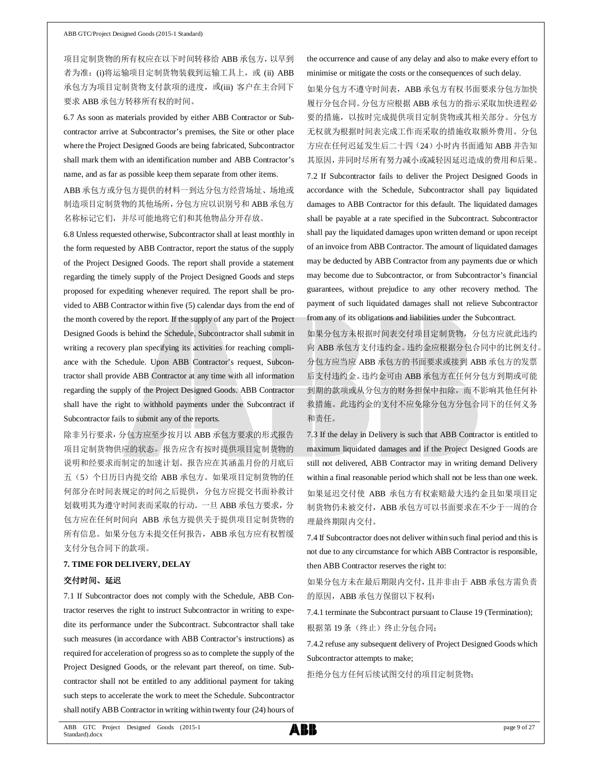项目定制货物的所有权应在以下时间转移给 ABB 承包方,以早到 者为准: (i)将运输项目定制货物装载到运输工具上, 或 (ii) ABB 承包方为项目定制货物支付款项的进度,或(iii) 客户在主合同下 要求 ABB 承包方转移所有权的时间。

6.7 As soon as materials provided by either ABB Contractor or Subcontractor arrive at Subcontractor's premises, the Site or other place where the Project Designed Goods are being fabricated, Subcontractor shall mark them with an identification number and ABB Contractor's name, and as far as possible keep them separate from other items.

ABB 承包方或分包方提供的材料一到达分包方经营场址、场地或 制造项目定制货物的其他场所,分包方应以识别号和 ABB 承包方 名称标记它们,并尽可能地将它们和其他物品分开存放。

6.8 Unless requested otherwise, Subcontractor shall at least monthly in the form requested by ABB Contractor, report the status of the supply of the Project Designed Goods. The report shall provide a statement regarding the timely supply of the Project Designed Goods and steps proposed for expediting whenever required. The report shall be provided to ABB Contractor within five (5) calendar days from the end of the month covered by the report. If the supply of any part of the Project Designed Goods is behind the Schedule, Subcontractor shall submit in writing a recovery plan specifying its activities for reaching compliance with the Schedule. Upon ABB Contractor's request, Subcontractor shall provide ABB Contractor at any time with all information regarding the supply of the Project Designed Goods. ABB Contractor shall have the right to withhold payments under the Subcontract if Subcontractor fails to submit any of the reports.

除非另行要求,分包方应至少按月以 ABB 承包方要求的形式报告 项目定制货物供应的状态。报告应含有按时提供项目定制货物的 说明和经要求而制定的加速计划。报告应在其涵盖月份的月底后 五(5)个日历日内提交给 ABB 承包方。如果项目定制货物的任 何部分在时间表规定的时间之后提供,分包方应提交书面补救计 划载明其为遵守时间表而采取的行动。一旦 ABB 承包方要求, 分 包方应在任何时间向 ABB 承包方提供关于提供项目定制货物的 所有信息。如果分包方未提交任何报告, ABB 承包方应有权暂缓 支付分包合同下的款项。

### **7. TIME FOR DELIVERY, DELAY**

#### 交付时间、延迟

7.1 If Subcontractor does not comply with the Schedule, ABB Contractor reserves the right to instruct Subcontractor in writing to expedite its performance under the Subcontract. Subcontractor shall take such measures (in accordance with ABB Contractor's instructions) as required for acceleration of progress so as to complete the supply of the Project Designed Goods, or the relevant part thereof, on time. Subcontractor shall not be entitled to any additional payment for taking such steps to accelerate the work to meet the Schedule. Subcontractor shall notify ABB Contractor in writing within twenty four (24) hours of

the occurrence and cause of any delay and also to make every effort to minimise or mitigate the costs or the consequences of such delay.

如果分包方不遵守时间表,ABB 承包方有权书面要求分包方加快 履行分包合同。分包方应根据 ABB 承包方的指示采取加快进程必 要的措施,以按时完成提供项目定制货物或其相关部分。分包方 无权就为根据时间表完成工作而采取的措施收取额外费用。分包 方应在任何迟延发生后二十四(24)小时内书面通知 ABB 并告知 其原因,并同时尽所有努力减小或减轻因延迟造成的费用和后果。

7.2 If Subcontractor fails to deliver the Project Designed Goods in accordance with the Schedule, Subcontractor shall pay liquidated damages to ABB Contractor for this default. The liquidated damages shall be payable at a rate specified in the Subcontract. Subcontractor shall pay the liquidated damages upon written demand or upon receipt of an invoice from ABB Contractor. The amount of liquidated damages may be deducted by ABB Contractor from any payments due or which may become due to Subcontractor, or from Subcontractor's financial guarantees, without prejudice to any other recovery method. The payment of such liquidated damages shall not relieve Subcontractor from any of its obligations and liabilities under the Subcontract.

如果分包方未根据时间表交付项目定制货物,分包方应就此违约 向 ABB 承包方支付违约金。违约金应根据分包合同中的比例支付。 分包方应当应 ABB 承包方的书面要求或接到 ABB 承包方的发票 后支付违约金。违约金可由 ABB 承包方在任何分包方到期或可能 到期的款项或从分包方的财务担保中扣除,而不影响其他任何补 救措施。此违约金的支付不应免除分包方分包合同下的任何义务 和责任。

7.3 If the delay in Delivery is such that ABB Contractor is entitled to maximum liquidated damages and if the Project Designed Goods are still not delivered, ABB Contractor may in writing demand Delivery within a final reasonable period which shall not be less than one week. 如果延迟交付使 ABB 承包方有权索赔最大违约金且如果项目定 制货物仍未被交付, ABB 承包方可以书面要求在不少于一周的合 理最终期限内交付。

7.4 If Subcontractor does not deliver within such final period and this is not due to any circumstance for which ABB Contractor is responsible, then ABB Contractor reserves the right to:

如果分包方未在最后期限内交付,且并非由于 ABB 承包方需负责 的原因, ABB 承包方保留以下权利:

7.4.1 terminate the Subcontract pursuant to Clause 19 (Termination); 根据第19条(终止)终止分包合同;

7.4.2 refuse any subsequent delivery of Project Designed Goods which Subcontractor attempts to make;

拒绝分包方任何后续试图交付的项目定制货物;

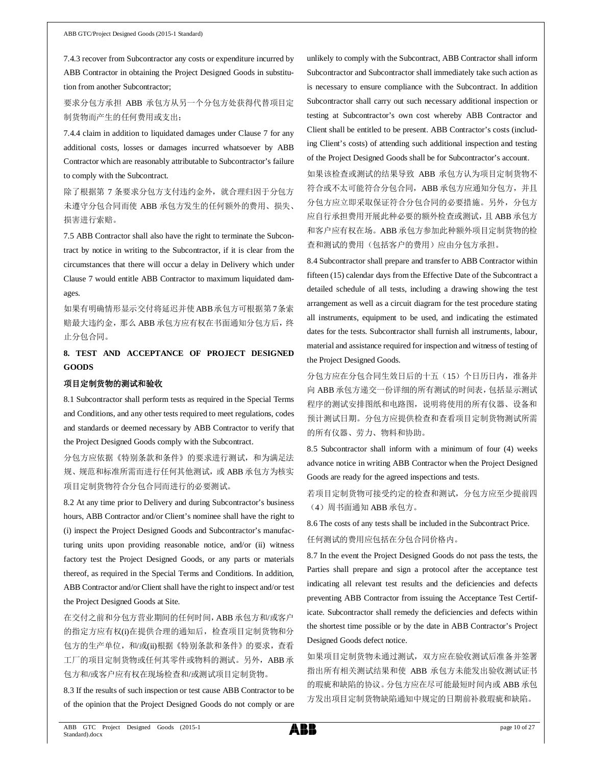7.4.3 recover from Subcontractor any costs or expenditure incurred by ABB Contractor in obtaining the Project Designed Goods in substitution from another Subcontractor;

要求分包方承担 ABB 承包方从另一个分包方处获得代替项目定 制货物而产生的任何费用或支出;

7.4.4 claim in addition to liquidated damages under Clause 7 for any additional costs, losses or damages incurred whatsoever by ABB Contractor which are reasonably attributable to Subcontractor's failure to comply with the Subcontract.

除了根据第 7 条要求分包方支付违约金外, 就合理归因于分包方 未遵守分包合同而使 ABB 承包方发生的任何额外的费用、损失、 损害进行索赔。

7.5 ABB Contractor shall also have the right to terminate the Subcontract by notice in writing to the Subcontractor, if it is clear from the circumstances that there will occur a delay in Delivery which under Clause 7 would entitle ABB Contractor to maximum liquidated damages.

如果有明确情形显示交付将延迟并使ABB承包方可根据第7条索 赔最大违约金, 那么 ABB 承包方应有权在书面通知分包方后, 终 止分包合同。

# **8. TEST AND ACCEPTANCE OF PROJECT DESIGNED GOODS**

### 项目定制货物的测试和验收

8.1 Subcontractor shall perform tests as required in the Special Terms and Conditions, and any other tests required to meet regulations, codes and standards or deemed necessary by ABB Contractor to verify that the Project Designed Goods comply with the Subcontract.

分包方应依据《特别条款和条件》的要求进行测试,和为满足法 规、规范和标准所需而进行任何其他测试,或 ABB 承包方为核实 项目定制货物符合分包合同而进行的必要测试。

8.2 At any time prior to Delivery and during Subcontractor's business hours, ABB Contractor and/or Client's nominee shall have the right to (i) inspect the Project Designed Goods and Subcontractor's manufacturing units upon providing reasonable notice, and/or (ii) witness factory test the Project Designed Goods, or any parts or materials thereof, as required in the Special Terms and Conditions. In addition, ABB Contractor and/or Client shall have the right to inspect and/or test the Project Designed Goods at Site.

在交付之前和分包方营业期间的任何时间,ABB 承包方和/或客户 的指定方应有权(i)在提供合理的通知后,检查项目定制货物和分 包方的生产单位, 和/或(ii)根据《特别条款和条件》的要求, 查看 工厂的项目定制货物或任何其零件或物料的测试。另外, ABB 承 包方和/或客户应有权在现场检查和/或测试项目定制货物。

8.3 If the results of such inspection or test cause ABB Contractor to be of the opinion that the Project Designed Goods do not comply or are

unlikely to comply with the Subcontract, ABB Contractor shall inform Subcontractor and Subcontractor shall immediately take such action as is necessary to ensure compliance with the Subcontract. In addition Subcontractor shall carry out such necessary additional inspection or testing at Subcontractor's own cost whereby ABB Contractor and Client shall be entitled to be present. ABB Contractor's costs (including Client's costs) of attending such additional inspection and testing of the Project Designed Goods shall be for Subcontractor's account.

如果该检查或测试的结果导致 ABB 承包方认为项目定制货物不 符合或不太可能符合分包合同,ABB 承包方应通知分包方,并且 分包方应立即采取保证符合分包合同的必要措施。另外,分包方 应自行承担费用开展此种必要的额外检查或测试,且 ABB 承包方 和客户应有权在场。ABB 承包方参加此种额外项目定制货物的检 查和测试的费用(包括客户的费用)应由分包方承担。

8.4 Subcontractor shall prepare and transfer to ABB Contractor within fifteen (15) calendar days from the Effective Date of the Subcontract a detailed schedule of all tests, including a drawing showing the test arrangement as well as a circuit diagram for the test procedure stating all instruments, equipment to be used, and indicating the estimated dates for the tests. Subcontractor shall furnish all instruments, labour, material and assistance required for inspection and witness of testing of the Project Designed Goods.

分包方应在分包合同生效日后的十五(15)个日历日内,准备并 向 ABB 承包方递交一份详细的所有测试的时间表,包括显示测试 程序的测试安排图纸和电路图,说明将使用的所有仪器、设备和 预计测试日期。分包方应提供检查和查看项目定制货物测试所需 的所有仪器、劳力、物料和协助。

8.5 Subcontractor shall inform with a minimum of four (4) weeks advance notice in writing ABB Contractor when the Project Designed Goods are ready for the agreed inspections and tests.

若项目定制货物可接受约定的检查和测试,分包方应至少提前四 (4)周书面通知 ABB 承包方。

8.6 The costs of any tests shall be included in the Subcontract Price. 任何测试的费用应包括在分包合同价格内。

8.7 In the event the Project Designed Goods do not pass the tests, the Parties shall prepare and sign a protocol after the acceptance test indicating all relevant test results and the deficiencies and defects preventing ABB Contractor from issuing the Acceptance Test Certificate. Subcontractor shall remedy the deficiencies and defects within the shortest time possible or by the date in ABB Contractor's Project Designed Goods defect notice.

如果项目定制货物未通过测试,双方应在验收测试后准备并签署 指出所有相关测试结果和使 ABB 承包方未能发出验收测试证书 的瑕疵和缺陷的协议。分包方应在尽可能最短时间内或 ABB 承包 方发出项目定制货物缺陷通知中规定的日期前补救瑕疵和缺陷。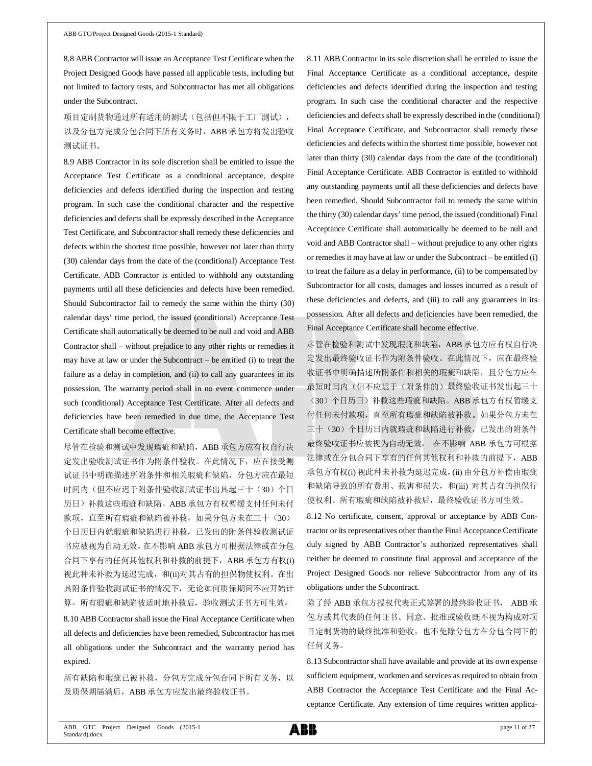8.8 ABB Contractor will issue an Acceptance Test Certificate when the Project Designed Goods have passed all applicable tests, including but not limited to factory tests, and Subcontractor has met all obligations under the Subcontract.

项目定制货物通过所有适用的测试(包括但不限于工厂测试), 以及分包方完成分包合同下所有义务时, ABB 承包方将发出验收 测试证书。

8.9 ABB Contractor in its sole discretion shall be entitled to issue the Acceptance Test Certificate as a conditional acceptance, despite deficiencies and defects identified during the inspection and testing program. In such case the conditional character and the respective deficiencies and defects shall be expressly described in the Acceptance Test Certificate, and Subcontractor shall remedy these deficiencies and defects within the shortest time possible, however not later than thirty (30) calendar days from the date of the (conditional) Acceptance Test Certificate. ABB Contractor is entitled to withhold any outstanding payments until all these deficiencies and defects have been remedied. Should Subcontractor fail to remedy the same within the thirty (30) calendar days' time period, the issued (conditional) Acceptance Test Certificate shall automatically be deemed to be null and void and ABB Contractor shall – without prejudice to any other rights or remedies it may have at law or under the Subcontract – be entitled (i) to treat the failure as a delay in completion, and (ii) to call any guarantees in its possession. The warranty period shall in no event commence under such (conditional) Acceptance Test Certificate. After all defects and deficiencies have been remedied in due time, the Acceptance Test Certificate shall become effective.

尽管在检验和测试中发现瑕疵和缺陷,ABB 承包方应有权自行决 定发出验收测试证书作为附条件验收。在此情况下,应在接受测 试证书中明确描述所附条件和相关瑕疵和缺陷,分包方应在最短 时间内(但不应迟于附条件验收测试证书出具起三十(30)个日 历日)补救这些瑕疵和缺陷。ABB 承包方有权暂缓支付任何未付 款项,直至所有瑕疵和缺陷被补救。如果分包方未在三十(30) 个日历日内就瑕疵和缺陷进行补救,已发出的附条件验收测试证 书应被视为自动无效,在不影响 ABB 承包方可根据法律或在分包 合同下享有的任何其他权利和补救的前提下,ABB 承包方有权(i) 视此种未补救为延迟完成, 和(ii)对其占有的担保物使权利。在出 具附条件验收测试证书的情况下,无论如何质保期间不应开始计 算。所有瑕疵和缺陷被适时地补救后,验收测试证书方可生效。

8.10 ABB Contractor shall issue the Final Acceptance Certificate when all defects and deficiencies have been remedied, Subcontractor has met all obligations under the Subcontract and the warranty period has expired.

所有缺陷和瑕疵已被补救,分包方完成分包合同下所有义务,以 及质保期届满后, ABB 承包方应发出最终验收证书。

8.11 ABB Contractor in its sole discretion shall be entitled to issue the Final Acceptance Certificate as a conditional acceptance, despite deficiencies and defects identified during the inspection and testing program. In such case the conditional character and the respective deficiencies and defects shall be expressly described in the (conditional) Final Acceptance Certificate, and Subcontractor shall remedy these deficiencies and defects within the shortest time possible, however not later than thirty (30) calendar days from the date of the (conditional) Final Acceptance Certificate. ABB Contractor is entitled to withhold any outstanding payments until all these deficiencies and defects have been remedied. Should Subcontractor fail to remedy the same within the thirty (30) calendar days' time period, the issued (conditional) Final Acceptance Certificate shall automatically be deemed to be null and void and ABB Contractor shall – without prejudice to any other rights or remedies it may have at law or under the Subcontract – be entitled (i) to treat the failure as a delay in performance, (ii) to be compensated by Subcontractor for all costs, damages and losses incurred as a result of these deficiencies and defects, and (iii) to call any guarantees in its possession. After all defects and deficiencies have been remedied, the Final Acceptance Certificate shall become effective.

尽管在检验和测试中发现瑕疵和缺陷,ABB 承包方应有权自行决 定发出最终验收证书作为附条件验收。在此情况下,应在最终验 收证书中明确描述所附条件和相关的瑕疵和缺陷,且分包方应在 最短时间内(但不应迟于(附条件的)最终验收证书发出起三十 (30)个日历日)补救这些瑕疵和缺陷。ABB 承包方有权暂缓支 付任何未付款项,直至所有瑕疵和缺陷被补救。如果分包方未在 三十(30)个日历日内就瑕疵和缺陷进行补救, 已发出的附条件 最终验收证书应被视为自动无效, 在不影响 ABB 承包方可根据 法律或在分包合同下享有的任何其他权利和补救的前提下, ABB 承包方有权(i) 视此种未补救为延迟完成,(ii) 由分包方补偿由瑕疵 和缺陷导致的所有费用、损害和损失,和(iii) 对其占有的担保行 使权利。所有瑕疵和缺陷被补救后,最终验收证书方可生效。

8.12 No certificate, consent, approval or acceptance by ABB Contractor or its representatives other than the Final Acceptance Certificate duly signed by ABB Contractor's authorized representatives shall neither be deemed to constitute final approval and acceptance of the Project Designed Goods nor relieve Subcontractor from any of its obligations under the Subcontract.

除了经 ABB 承包方授权代表正式签署的最终验收证书, ABB 承 包方或其代表的任何证书、同意、批准或验收既不视为构成对项 目定制货物的最终批准和验收,也不免除分包方在分包合同下的 任何义务。

8.13 Subcontractor shall have available and provide at its own expense sufficient equipment, workmen and services as required to obtain from ABB Contractor the Acceptance Test Certificate and the Final Acceptance Certificate. Any extension of time requires written applica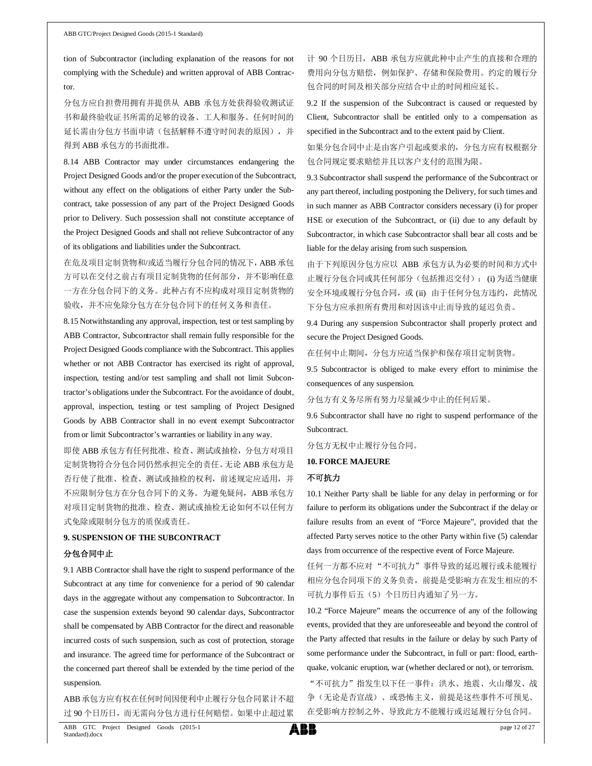tion of Subcontractor (including explanation of the reasons for not complying with the Schedule) and written approval of ABB Contractor.

分包方应自担费用拥有并提供从 ABB 承包方处获得验收测试证 书和最终验收证书所需的足够的设备、工人和服务。任何时间的 延长需由分包方书面申请(包括解释不遵守时间表的原因),并 得到 ABB 承包方的书面批准。

8.14 ABB Contractor may under circumstances endangering the Project Designed Goods and/or the proper execution of the Subcontract, without any effect on the obligations of either Party under the Subcontract, take possession of any part of the Project Designed Goods prior to Delivery. Such possession shall not constitute acceptance of the Project Designed Goods and shall not relieve Subcontractor of any of its obligations and liabilities under the Subcontract.

在危及项目定制货物和/或适当履行分包合同的情况下,ABB 承包 方可以在交付之前占有项目定制货物的任何部分,并不影响任意 一方在分包合同下的义务。此种占有不应构成对项目定制货物的 验收,并不应免除分包方在分包合同下的任何义务和责任。

8.15 Notwithstanding any approval, inspection, test or test sampling by ABB Contractor, Subcontractor shall remain fully responsible for the Project Designed Goods compliance with the Subcontract. This applies whether or not ABB Contractor has exercised its right of approval, inspection, testing and/or test sampling and shall not limit Subcontractor's obligations under the Subcontract. For the avoidance of doubt, approval, inspection, testing or test sampling of Project Designed Goods by ABB Contractor shall in no event exempt Subcontractor from or limit Subcontractor's warranties or liability in any way.

即使 ABB 承包方有任何批准、检查、测试或抽检,分包方对项目 定制货物符合分包合同仍然承担完全的责任。无论 ABB 承包方是 否行使了批准、检查、测试或抽检的权利,前述规定应适用,并 不应限制分包方在分包合同下的义务。为避免疑问, ABB 承包方 对项目定制货物的批准、检查、测试或抽检无论如何不以任何方 式免除或限制分包方的质保或责任。

# **9. SUSPENSION OF THE SUBCONTRACT**

### 分包合同中止

9.1 ABB Contractor shall have the right to suspend performance of the Subcontract at any time for convenience for a period of 90 calendar days in the aggregate without any compensation to Subcontractor. In case the suspension extends beyond 90 calendar days, Subcontractor shall be compensated by ABB Contractor for the direct and reasonable incurred costs of such suspension, such as cost of protection, storage and insurance. The agreed time for performance of the Subcontract or the concerned part thereof shall be extended by the time period of the suspension.

ABB承包方应有权在任何时间因便利中止履行分包合同累计不超 过 90 个日历日,而无需向分包方进行任何赔偿。如果中止超过累 计 90 个日历日, ABB 承包方应就此种中止产生的直接和合理的 费用向分包方赔偿,例如保护、存储和保险费用。约定的履行分 包合同的时间及相关部分应结合中止的时间相应延长。

9.2 If the suspension of the Subcontract is caused or requested by Client, Subcontractor shall be entitled only to a compensation as specified in the Subcontract and to the extent paid by Client.

如果分包合同中止是由客户引起或要求的,分包方应有权根据分 包合同规定要求赔偿并且以客户支付的范围为限。

9.3 Subcontractor shall suspend the performance of the Subcontract or any part thereof, including postponing the Delivery, for such times and in such manner as ABB Contractor considers necessary (i) for proper HSE or execution of the Subcontract, or (ii) due to any default by Subcontractor, in which case Subcontractor shall bear all costs and be liable for the delay arising from such suspension.

由于下列原因分包方应以 ABB 承包方认为必要的时间和方式中 止履行分包合同或其任何部分(包括推迟交付): (i) 为适当健康 安全环境或履行分包合同, 或 (ii) 由于任何分包方违约, 此情况 下分包方应承担所有费用和对因该中止而导致的延迟负责。

9.4 During any suspension Subcontractor shall properly protect and secure the Project Designed Goods.

在任何中止期间,分包方应适当保护和保存项目定制货物。

9.5 Subcontractor is obliged to make every effort to minimise the consequences of any suspension.

分包方有义务尽所有努力尽量减少中止的任何后果。

9.6 Subcontractor shall have no right to suspend performance of the Subcontract.

分包方无权中止履行分包合同。

## **10. FORCE MAJEURE**

# 不可抗力

10.1 Neither Party shall be liable for any delay in performing or for failure to perform its obligations under the Subcontract if the delay or failure results from an event of "Force Majeure", provided that the affected Party serves notice to the other Party within five (5) calendar days from occurrence of the respective event of Force Majeure.

任何一方都不应对 "不可抗力"事件导致的延迟履行或未能履行 相应分包合同项下的义务负责,前提是受影响方在发生相应的不 可抗力事件后五(5)个日历日内通知了另一方。

10.2 "Force Majeure" means the occurrence of any of the following events, provided that they are unforeseeable and beyond the control of the Party affected that results in the failure or delay by such Party of some performance under the Subcontract, in full or part: flood, earthquake, volcanic eruption, war (whether declared or not), or terrorism. "不可抗力"指发生以下任一事件:洪水、地震、火山爆发、战 争(无论是否宣战)、或恐怖主义,前提是这些事件不可预见、

在受影响方控制之外、导致此方不能履行或迟延履行分包合同。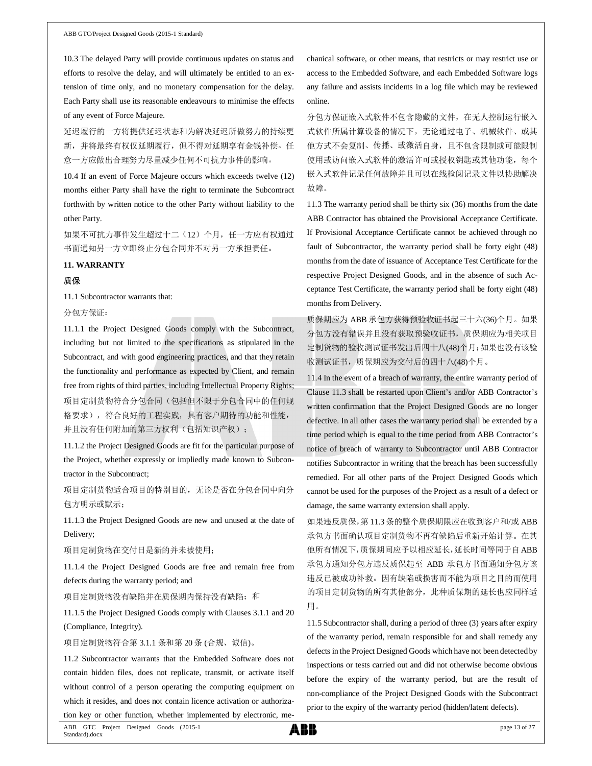10.3 The delayed Party will provide continuous updates on status and efforts to resolve the delay, and will ultimately be entitled to an extension of time only, and no monetary compensation for the delay. Each Party shall use its reasonable endeavours to minimise the effects of any event of Force Majeure.

延迟履行的一方将提供延迟状态和为解决延迟所做努力的持续更 新,并将最终有权仅延期履行,但不得对延期享有金钱补偿。任 意一方应做出合理努力尽量减少任何不可抗力事件的影响。

10.4 If an event of Force Majeure occurs which exceeds twelve (12) months either Party shall have the right to terminate the Subcontract forthwith by written notice to the other Party without liability to the other Party.

如果不可抗力事件发生超过十二(12)个月,任一方应有权通过 书面通知另一方立即终止分包合同并不对另一方承担责任。

### **11. WARRANTY**

### 质保

11.1 Subcontractor warrants that:

分包方保证:

11.1.1 the Project Designed Goods comply with the Subcontract, including but not limited to the specifications as stipulated in the Subcontract, and with good engineering practices, and that they retain the functionality and performance as expected by Client, and remain free from rights of third parties, including Intellectual Property Rights; 项目定制货物符合分包合同(包括但不限于分包合同中的任何规 格要求),符合良好的工程实践,具有客户期待的功能和性能, 并且没有任何附加的第三方权利(包括知识产权);

11.1.2 the Project Designed Goods are fit for the particular purpose of the Project, whether expressly or impliedly made known to Subcontractor in the Subcontract;

项目定制货物适合项目的特别目的,无论是否在分包合同中向分 包方明示或默示;

11.1.3 the Project Designed Goods are new and unused at the date of Delivery;

项目定制货物在交付日是新的并未被使用;

11.1.4 the Project Designed Goods are free and remain free from defects during the warranty period; and

项目定制货物没有缺陷并在质保期内保持没有缺陷;和

11.1.5 the Project Designed Goods comply with Clauses 3.1.1 and 20 (Compliance, Integrity).

项目定制货物符合第 3.1.1 条和第 20 条 (合规、诚信)。

11.2 Subcontractor warrants that the Embedded Software does not contain hidden files, does not replicate, transmit, or activate itself without control of a person operating the computing equipment on which it resides, and does not contain licence activation or authorization key or other function, whether implemented by electronic, mechanical software, or other means, that restricts or may restrict use or access to the Embedded Software, and each Embedded Software logs any failure and assists incidents in a log file which may be reviewed online.

分包方保证嵌入式软件不包含隐藏的文件,在无人控制运行嵌入 式软件所属计算设备的情况下,无论通过电子、机械软件、或其 他方式不会复制、传播、或激活自身,且不包含限制或可能限制 使用或访问嵌入式软件的激活许可或授权钥匙或其他功能,每个 嵌入式软件记录任何故障并且可以在线检阅记录文件以协助解决 故障。

11.3 The warranty period shall be thirty six (36) months from the date ABB Contractor has obtained the Provisional Acceptance Certificate. If Provisional Acceptance Certificate cannot be achieved through no fault of Subcontractor, the warranty period shall be forty eight (48) months from the date of issuance of Acceptance Test Certificate for the respective Project Designed Goods, and in the absence of such Acceptance Test Certificate, the warranty period shall be forty eight (48) months from Delivery.

质保期应为 ABB 承包方获得预验收证书起三十六(36)个月。如果 分包方没有错误并且没有获取预验收证书,质保期应为相关项目 定制货物的验收测试证书发出后四十八(48)个月;如果也没有该验 收测试证书,质保期应为交付后的四十八(48)个月。

11.4 In the event of a breach of warranty, the entire warranty period of Clause 11.3 shall be restarted upon Client's and/or ABB Contractor's written confirmation that the Project Designed Goods are no longer defective. In all other cases the warranty period shall be extended by a time period which is equal to the time period from ABB Contractor's notice of breach of warranty to Subcontractor until ABB Contractor notifies Subcontractor in writing that the breach has been successfully remedied. For all other parts of the Project Designed Goods which cannot be used for the purposes of the Project as a result of a defect or damage, the same warranty extension shall apply.

如果违反质保,第 11.3 条的整个质保期限应在收到客户和/或 ABB 承包方书面确认项目定制货物不再有缺陷后重新开始计算。在其 他所有情况下,质保期间应予以相应延长,延长时间等同于自ABB 承包方通知分包方违反质保起至 ABB 承包方书面通知分包方该 违反已被成功补救。因有缺陷或损害而不能为项目之目的而使用 的项目定制货物的所有其他部分,此种质保期的延长也应同样适 用。

11.5 Subcontractor shall, during a period of three (3) years after expiry of the warranty period, remain responsible for and shall remedy any defects in the Project Designed Goods which have not been detected by inspections or tests carried out and did not otherwise become obvious before the expiry of the warranty period, but are the result of non-compliance of the Project Designed Goods with the Subcontract prior to the expiry of the warranty period (hidden/latent defects).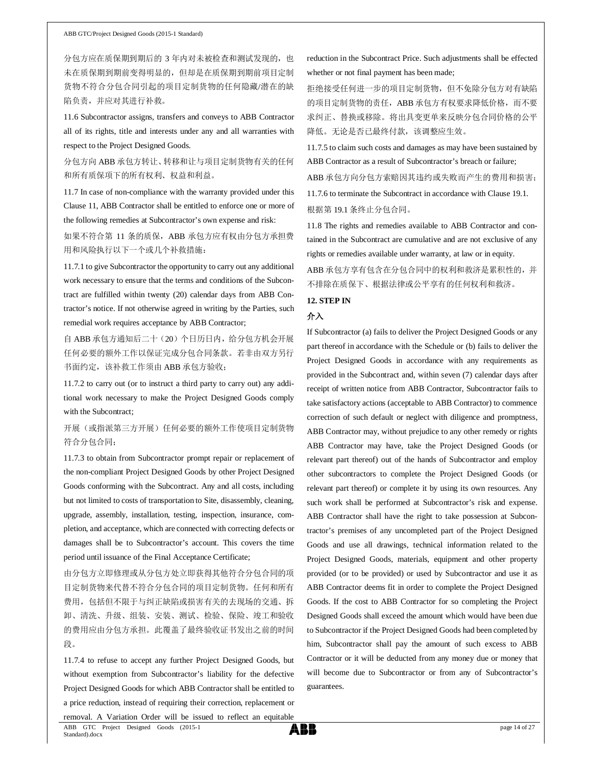分包方应在质保期到期后的 3 年内对未被检查和测试发现的,也 未在质保期到期前变得明显的,但却是在质保期到期前项目定制 货物不符合分包合同引起的项目定制货物的任何隐藏/潜在的缺 陷负责,并应对其进行补救。

11.6 Subcontractor assigns, transfers and conveys to ABB Contractor all of its rights, title and interests under any and all warranties with respect to the Project Designed Goods.

分包方向 ABB 承包方转让、转移和让与项目定制货物有关的任何 和所有质保项下的所有权利、权益和利益。

11.7 In case of non-compliance with the warranty provided under this Clause 11, ABB Contractor shall be entitled to enforce one or more of the following remedies at Subcontractor's own expense and risk:

如果不符合第 11 条的质保, ABB 承包方应有权由分包方承担费 用和风险执行以下一个或几个补救措施:

11.7.1 to give Subcontractor the opportunity to carry out any additional work necessary to ensure that the terms and conditions of the Subcontract are fulfilled within twenty (20) calendar days from ABB Contractor's notice. If not otherwise agreed in writing by the Parties, such remedial work requires acceptance by ABB Contractor;

自 ABB 承包方通知后二十(20)个日历日内,给分包方机会开展 任何必要的额外工作以保证完成分包合同条款。若非由双方另行 书面约定,该补救工作须由 ABB 承包方验收;

11.7.2 to carry out (or to instruct a third party to carry out) any additional work necessary to make the Project Designed Goods comply with the Subcontract;

开展(或指派第三方开展)任何必要的额外工作使项目定制货物 符合分包合同;

11.7.3 to obtain from Subcontractor prompt repair or replacement of the non-compliant Project Designed Goods by other Project Designed Goods conforming with the Subcontract. Any and all costs, including but not limited to costs of transportation to Site, disassembly, cleaning, upgrade, assembly, installation, testing, inspection, insurance, completion, and acceptance, which are connected with correcting defects or damages shall be to Subcontractor's account. This covers the time period until issuance of the Final Acceptance Certificate;

由分包方立即修理或从分包方处立即获得其他符合分包合同的项 目定制货物来代替不符合分包合同的项目定制货物。任何和所有 费用,包括但不限于与纠正缺陷或损害有关的去现场的交通、拆 卸、清洗、升级、组装、安装、测试、检验、保险、竣工和验收 的费用应由分包方承担。此覆盖了最终验收证书发出之前的时间 段。

11.7.4 to refuse to accept any further Project Designed Goods, but without exemption from Subcontractor's liability for the defective Project Designed Goods for which ABB Contractor shall be entitled to a price reduction, instead of requiring their correction, replacement or

reduction in the Subcontract Price. Such adjustments shall be effected whether or not final payment has been made;

拒绝接受任何进一步的项目定制货物,但不免除分包方对有缺陷 的项目定制货物的责任, ABB 承包方有权要求降低价格, 而不要 求纠正、替换或移除。将出具变更单来反映分包合同价格的公平 降低。无论是否已最终付款,该调整应生效。

11.7.5 to claim such costs and damages as may have been sustained by ABB Contractor as a result of Subcontractor's breach or failure;

ABB 承包方向分包方索赔因其违约或失败而产生的费用和损害; 11.7.6 to terminate the Subcontract in accordance with Clause 19.1. 根据第 19.1 条终止分包合同。

11.8 The rights and remedies available to ABB Contractor and contained in the Subcontract are cumulative and are not exclusive of any rights or remedies available under warranty, at law or in equity.

ABB 承包方享有包含在分包合同中的权利和救济是累积性的,并 不排除在质保下、根据法律或公平享有的任何权利和救济。

## **12. STEP IN**

### 介入

If Subcontractor (a) fails to deliver the Project Designed Goods or any part thereof in accordance with the Schedule or (b) fails to deliver the Project Designed Goods in accordance with any requirements as provided in the Subcontract and, within seven (7) calendar days after receipt of written notice from ABB Contractor, Subcontractor fails to take satisfactory actions (acceptable to ABB Contractor) to commence correction of such default or neglect with diligence and promptness, ABB Contractor may, without prejudice to any other remedy or rights ABB Contractor may have, take the Project Designed Goods (or relevant part thereof) out of the hands of Subcontractor and employ other subcontractors to complete the Project Designed Goods (or relevant part thereof) or complete it by using its own resources. Any such work shall be performed at Subcontractor's risk and expense. ABB Contractor shall have the right to take possession at Subcontractor's premises of any uncompleted part of the Project Designed Goods and use all drawings, technical information related to the Project Designed Goods, materials, equipment and other property provided (or to be provided) or used by Subcontractor and use it as ABB Contractor deems fit in order to complete the Project Designed Goods. If the cost to ABB Contractor for so completing the Project Designed Goods shall exceed the amount which would have been due to Subcontractor if the Project Designed Goods had been completed by him, Subcontractor shall pay the amount of such excess to ABB Contractor or it will be deducted from any money due or money that will become due to Subcontractor or from any of Subcontractor's guarantees.

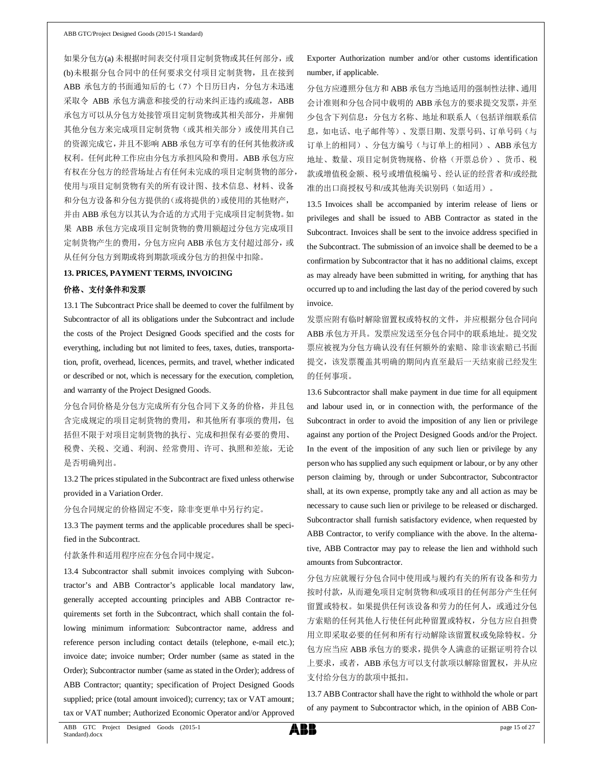如果分包方(a) 未根据时间表交付项目定制货物或其任何部分,或 (b)未根据分包合同中的任何要求交付项目定制货物,且在接到 ABB 承包方的书面通知后的七(7)个日历日内,分包方未迅速 采取令 ABB 承包方满意和接受的行动来纠正违约或疏忽, ABB 承包方可以从分包方处接管项目定制货物或其相关部分,并雇佣 其他分包方来完成项目定制货物(或其相关部分)或使用其自己 的资源完成它,并且不影响 ABB 承包方可享有的任何其他救济或 权利。任何此种工作应由分包方承担风险和费用。ABB 承包方应 有权在分包方的经营场址占有任何未完成的项目定制货物的部分, 使用与项目定制货物有关的所有设计图、技术信息、材料、设备 和分包方设备和分包方提供的(或将提供的)或使用的其他财产, 并由 ABB 承包方以其认为合适的方式用于完成项目定制货物。如 果 ABB 承包方完成项目定制货物的费用额超过分包方完成项目 定制货物产生的费用,分包方应向 ABB 承包方支付超过部分,或 从任何分包方到期或将到期款项或分包方的担保中扣除。

### **13. PRICES, PAYMENT TERMS, INVOICING**

### 价格、支付条件和发票

13.1 The Subcontract Price shall be deemed to cover the fulfilment by Subcontractor of all its obligations under the Subcontract and include the costs of the Project Designed Goods specified and the costs for everything, including but not limited to fees, taxes, duties, transportation, profit, overhead, licences, permits, and travel, whether indicated or described or not, which is necessary for the execution, completion, and warranty of the Project Designed Goods.

分包合同价格是分包方完成所有分包合同下义务的价格,并且包 含完成规定的项目定制货物的费用,和其他所有事项的费用,包 括但不限于对项目定制货物的执行、完成和担保有必要的费用、 税费、关税、交通、利润、经常费用、许可、执照和差旅,无论 是否明确列出。

# 13.2 The prices stipulated in the Subcontract are fixed unless otherwise provided in a Variation Order.

分包合同规定的价格固定不变,除非变更单中另行约定。

13.3 The payment terms and the applicable procedures shall be specified in the Subcontract.

付款条件和适用程序应在分包合同中规定。

13.4 Subcontractor shall submit invoices complying with Subcontractor's and ABB Contractor's applicable local mandatory law, generally accepted accounting principles and ABB Contractor requirements set forth in the Subcontract, which shall contain the following minimum information: Subcontractor name, address and reference person including contact details (telephone, e-mail etc.); invoice date; invoice number; Order number (same as stated in the Order); Subcontractor number (same as stated in the Order); address of ABB Contractor; quantity; specification of Project Designed Goods supplied; price (total amount invoiced); currency; tax or VAT amount; tax or VAT number; Authorized Economic Operator and/or Approved

# Exporter Authorization number and/or other customs identification number, if applicable.

分包方应遵照分包方和 ABB 承包方当地适用的强制性法律、通用 会计准则和分包合同中载明的 ABB 承包方的要求提交发票,并至 少包含下列信息:分包方名称、地址和联系人(包括详细联系信 息,如电话、电子邮件等)、发票日期、发票号码、订单号码(与 订单上的相同)、分包方编号(与订单上的相同)、ABB 承包方 地址、数量、项目定制货物规格、价格(开票总价)、货币、税 款或增值税金额、税号或增值税编号、经认证的经营者和/或经批 准的出口商授权号和/或其他海关识别码(如适用)。

13.5 Invoices shall be accompanied by interim release of liens or privileges and shall be issued to ABB Contractor as stated in the Subcontract. Invoices shall be sent to the invoice address specified in the Subcontract. The submission of an invoice shall be deemed to be a confirmation by Subcontractor that it has no additional claims, except as may already have been submitted in writing, for anything that has occurred up to and including the last day of the period covered by such invoice.

发票应附有临时解除留置权或特权的文件,并应根据分包合同向 ABB 承包方开具。发票应发送至分包合同中的联系地址。提交发 票应被视为分包方确认没有任何额外的索赔、除非该索赔已书面 提交,该发票覆盖其明确的期间内直至最后一天结束前已经发生 的任何事项。

13.6 Subcontractor shall make payment in due time for all equipment and labour used in, or in connection with, the performance of the Subcontract in order to avoid the imposition of any lien or privilege against any portion of the Project Designed Goods and/or the Project. In the event of the imposition of any such lien or privilege by any person who has supplied any such equipment or labour, or by any other person claiming by, through or under Subcontractor, Subcontractor shall, at its own expense, promptly take any and all action as may be necessary to cause such lien or privilege to be released or discharged. Subcontractor shall furnish satisfactory evidence, when requested by ABB Contractor, to verify compliance with the above. In the alternative, ABB Contractor may pay to release the lien and withhold such amounts from Subcontractor.

分包方应就履行分包合同中使用或与履约有关的所有设备和劳力 按时付款,从而避免项目定制货物和/或项目的任何部分产生任何 留置或特权。如果提供任何该设备和劳力的任何人,或通过分包 方索赔的任何其他人行使任何此种留置或特权,分包方应自担费 用立即采取必要的任何和所有行动解除该留置权或免除特权。分 包方应当应 ABB 承包方的要求,提供令人满意的证据证明符合以 上要求, 或者, ABB 承包方可以支付款项以解除留置权, 并从应 支付给分包方的款项中抵扣。

13.7 ABB Contractor shall have the right to withhold the whole or part of any payment to Subcontractor which, in the opinion of ABB Con-

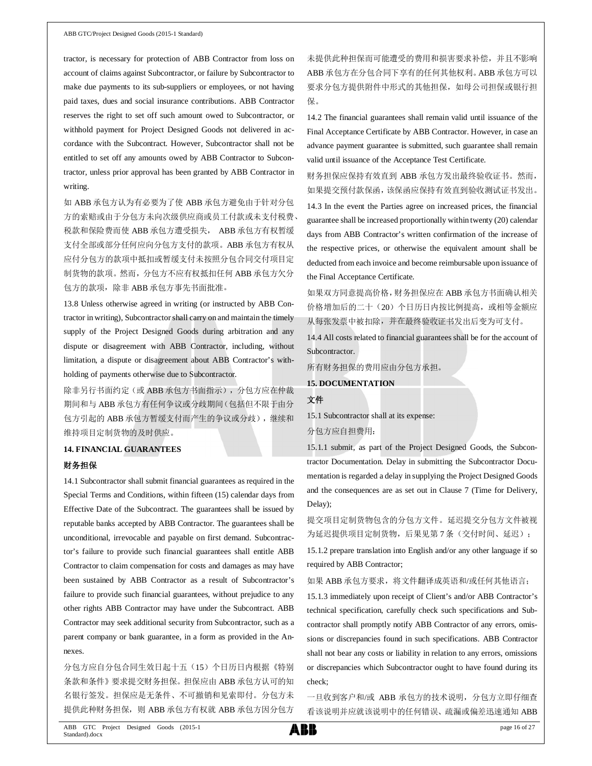tractor, is necessary for protection of ABB Contractor from loss on account of claims against Subcontractor, or failure by Subcontractor to make due payments to its sub-suppliers or employees, or not having paid taxes, dues and social insurance contributions. ABB Contractor reserves the right to set off such amount owed to Subcontractor, or withhold payment for Project Designed Goods not delivered in accordance with the Subcontract. However, Subcontractor shall not be entitled to set off any amounts owed by ABB Contractor to Subcontractor, unless prior approval has been granted by ABB Contractor in writing.

如 ABB 承包方认为有必要为了使 ABB 承包方避免由于针对分包 方的索赔或由于分包方未向次级供应商或员工付款或未支付税费、 税款和保险费而使 ABB 承包方遭受损失, ABB 承包方有权暂缓 支付全部或部分任何应向分包方支付的款项。ABB 承包方有权从 应付分包方的款项中抵扣或暂缓支付未按照分包合同交付项目定 制货物的款项。然而,分包方不应有权抵扣任何 ABB 承包方欠分 包方的款项,除非 ABB 承包方事先书面批准。

13.8 Unless otherwise agreed in writing (or instructed by ABB Contractor in writing), Subcontractor shall carry on and maintain the timely supply of the Project Designed Goods during arbitration and any dispute or disagreement with ABB Contractor, including, without limitation, a dispute or disagreement about ABB Contractor's withholding of payments otherwise due to Subcontractor.

除非另行书面约定(或 ABB 承包方书面指示),分包方应在仲裁 期间和与 ABB 承包方有任何争议或分歧期间(包括但不限于由分 包方引起的 ABB 承包方暂缓支付而产生的争议或分歧),继续和 维持项目定制货物的及时供应。

#### **14. FINANCIAL GUARANTEES**

#### 财务担保

14.1 Subcontractor shall submit financial guarantees as required in the Special Terms and Conditions, within fifteen (15) calendar days from Effective Date of the Subcontract. The guarantees shall be issued by reputable banks accepted by ABB Contractor. The guarantees shall be unconditional, irrevocable and payable on first demand. Subcontractor's failure to provide such financial guarantees shall entitle ABB Contractor to claim compensation for costs and damages as may have been sustained by ABB Contractor as a result of Subcontractor's failure to provide such financial guarantees, without prejudice to any other rights ABB Contractor may have under the Subcontract. ABB Contractor may seek additional security from Subcontractor, such as a parent company or bank guarantee, in a form as provided in the Annexes.

分包方应自分包合同生效日起十五(15)个日历日内根据《特别 条款和条件》要求提交财务担保。担保应由 ABB 承包方认可的知 名银行签发。担保应是无条件、不可撤销和见索即付。分包方未 提供此种财务担保, 则 ABB 承包方有权就 ABB 承包方因分包方

未提供此种担保而可能遭受的费用和损害要求补偿,并且不影响 ABB 承包方在分包合同下享有的任何其他权利。ABB 承包方可以 要求分包方提供附件中形式的其他担保,如母公司担保或银行担 保。

14.2 The financial guarantees shall remain valid until issuance of the Final Acceptance Certificate by ABB Contractor. However, in case an advance payment guarantee is submitted, such guarantee shall remain valid until issuance of the Acceptance Test Certificate.

财务担保应保持有效直到 ABB 承包方发出最终验收证书。然而, 如果提交预付款保函,该保函应保持有效直到验收测试证书发出。

14.3 In the event the Parties agree on increased prices, the financial guarantee shall be increased proportionally within twenty (20) calendar days from ABB Contractor's written confirmation of the increase of the respective prices, or otherwise the equivalent amount shall be deducted from each invoice and become reimbursable upon issuance of the Final Acceptance Certificate.

如果双方同意提高价格,财务担保应在 ABB 承包方书面确认相关 价格增加后的二十(20)个日历日内按比例提高,或相等金额应 从每张发票中被扣除,并在最终验收证书发出后变为可支付。

14.4 All costs related to financial guarantees shall be for the account of Subcontractor.

所有财务担保的费用应由分包方承担。

**15. DOCUMENTATION**

### 文件

15.1 Subcontractor shall at its expense:

分包方应自担费用:

15.1.1 submit, as part of the Project Designed Goods, the Subcontractor Documentation. Delay in submitting the Subcontractor Documentation is regarded a delay in supplying the Project Designed Goods and the consequences are as set out in Clause 7 (Time for Delivery, Delay);

提交项目定制货物包含的分包方文件。延迟提交分包方文件被视 为延迟提供项目定制货物,后果见第7条(交付时间、延迟);

15.1.2 prepare translation into English and/or any other language if so required by ABB Contractor;

如果 ABB 承包方要求,将文件翻译成英语和/或任何其他语言;

15.1.3 immediately upon receipt of Client's and/or ABB Contractor's technical specification, carefully check such specifications and Subcontractor shall promptly notify ABB Contractor of any errors, omissions or discrepancies found in such specifications. ABB Contractor shall not bear any costs or liability in relation to any errors, omissions or discrepancies which Subcontractor ought to have found during its check;

一旦收到客户和/或 ABB 承包方的技术说明,分包方立即仔细查 看该说明并应就该说明中的任何错误、疏漏或偏差迅速通知 ABB

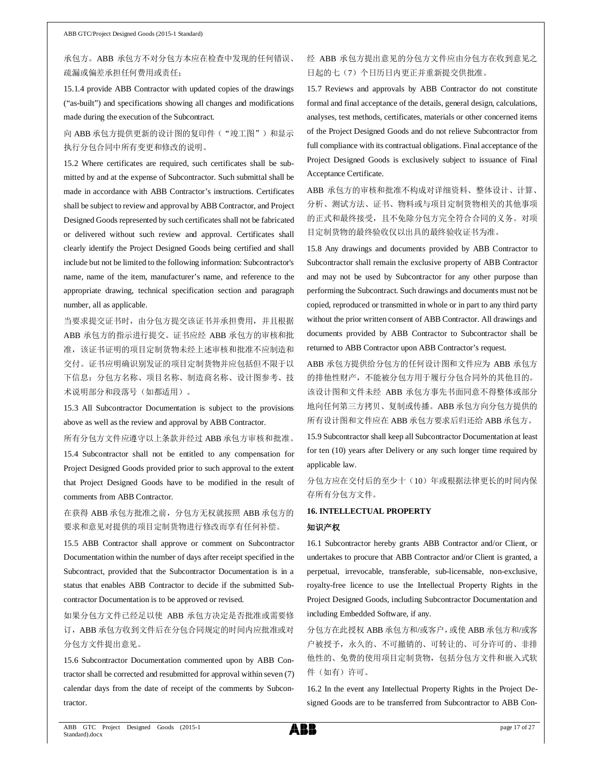# 承包方。ABB 承包方不对分包方本应在检查中发现的任何错误、 疏漏或偏差承担任何费用或责任;

15.1.4 provide ABB Contractor with updated copies of the drawings ("as-built") and specifications showing all changes and modifications made during the execution of the Subcontract.

## 向 ABB 承包方提供更新的设计图的复印件("竣工图")和显示 执行分包合同中所有变更和修改的说明。

15.2 Where certificates are required, such certificates shall be submitted by and at the expense of Subcontractor. Such submittal shall be made in accordance with ABB Contractor's instructions. Certificates shall be subject to review and approval by ABB Contractor, and Project Designed Goods represented by such certificates shall not be fabricated or delivered without such review and approval. Certificates shall clearly identify the Project Designed Goods being certified and shall include but not be limited to the following information: Subcontractor's name, name of the item, manufacturer's name, and reference to the appropriate drawing, technical specification section and paragraph number, all as applicable.

当要求提交证书时,由分包方提交该证书并承担费用,并且根据 ABB 承包方的指示进行提交。证书应经 ABB 承包方的审核和批 准,该证书证明的项目定制货物未经上述审核和批准不应制造和 交付。证书应明确识别发证的项目定制货物并应包括但不限于以 下信息:分包方名称、项目名称、制造商名称、设计图参考、技 术说明部分和段落号(如都适用)。

15.3 All Subcontractor Documentation is subject to the provisions above as well as the review and approval by ABB Contractor.

所有分包方文件应遵守以上条款并经过 ABB 承包方审核和批准。

15.4 Subcontractor shall not be entitled to any compensation for Project Designed Goods provided prior to such approval to the extent that Project Designed Goods have to be modified in the result of comments from ABB Contractor.

# 在获得 ABB 承包方批准之前,分包方无权就按照 ABB 承包方的 要求和意见对提供的项目定制货物进行修改而享有任何补偿。

15.5 ABB Contractor shall approve or comment on Subcontractor Documentation within the number of days after receipt specified in the Subcontract, provided that the Subcontractor Documentation is in a status that enables ABB Contractor to decide if the submitted Subcontractor Documentation is to be approved or revised.

如果分包方文件已经足以使 ABB 承包方决定是否批准或需要修 订, ABB 承包方收到文件后在分包合同规定的时间内应批准或对 分包方文件提出意见。

15.6 Subcontractor Documentation commented upon by ABB Contractor shall be corrected and resubmitted for approval within seven (7) calendar days from the date of receipt of the comments by Subcontractor.

# 经 ABB 承包方提出意见的分包方文件应由分包方在收到意见之 日起的七(7)个日历日内更正并重新提交供批准。

15.7 Reviews and approvals by ABB Contractor do not constitute formal and final acceptance of the details, general design, calculations, analyses, test methods, certificates, materials or other concerned items of the Project Designed Goods and do not relieve Subcontractor from full compliance with its contractual obligations. Final acceptance of the Project Designed Goods is exclusively subject to issuance of Final Acceptance Certificate.

ABB 承包方的审核和批准不构成对详细资料、整体设计、计算、 分析、测试方法、证书、物料或与项目定制货物相关的其他事项 的正式和最终接受,且不免除分包方完全符合合同的义务。对项 目定制货物的最终验收仅以出具的最终验收证书为准。

15.8 Any drawings and documents provided by ABB Contractor to Subcontractor shall remain the exclusive property of ABB Contractor and may not be used by Subcontractor for any other purpose than performing the Subcontract. Such drawings and documents must not be copied, reproduced or transmitted in whole or in part to any third party without the prior written consent of ABB Contractor. All drawings and documents provided by ABB Contractor to Subcontractor shall be returned to ABB Contractor upon ABB Contractor's request.

ABB 承包方提供给分包方的任何设计图和文件应为 ABB 承包方 的排他性财产,不能被分包方用于履行分包合同外的其他目的。 该设计图和文件未经 ABB 承包方事先书面同意不得整体或部分 地向任何第三方拷贝、复制或传播。ABB 承包方向分包方提供的 所有设计图和文件应在 ABB 承包方要求后归还给 ABB 承包方。

15.9 Subcontractor shall keep all Subcontractor Documentation at least for ten (10) years after Delivery or any such longer time required by applicable law.

分包方应在交付后的至少十(10)年或根据法律更长的时间内保 存所有分包方文件。

# **16. INTELLECTUAL PROPERTY** 知识产权

16.1 Subcontractor hereby grants ABB Contractor and/or Client, or undertakes to procure that ABB Contractor and/or Client is granted, a perpetual, irrevocable, transferable, sub-licensable, non-exclusive, royalty-free licence to use the Intellectual Property Rights in the Project Designed Goods, including Subcontractor Documentation and including Embedded Software, if any.

分包方在此授权 ABB 承包方和/或客户,或使 ABB 承包方和/或客 户被授予,永久的、不可撤销的、可转让的、可分许可的、非排 他性的、免费的使用项目定制货物,包括分包方文件和嵌入式软 件(如有)许可。

16.2 In the event any Intellectual Property Rights in the Project Designed Goods are to be transferred from Subcontractor to ABB Con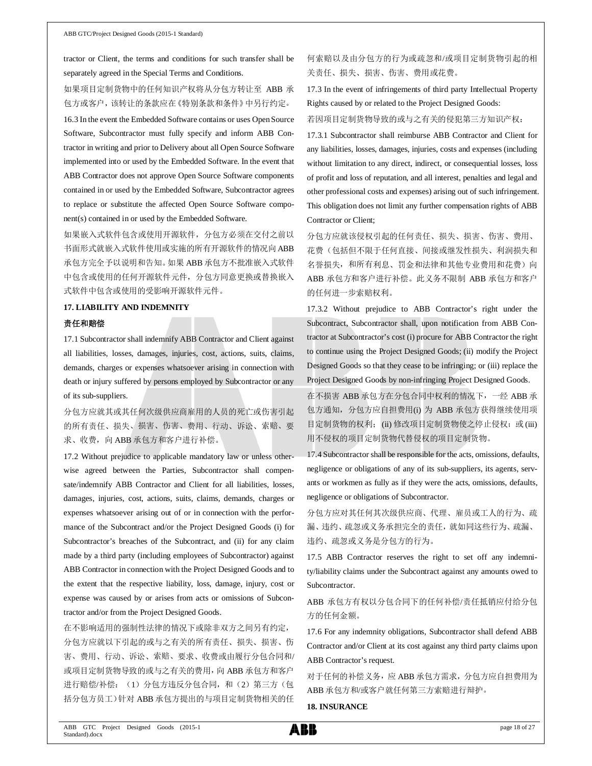tractor or Client, the terms and conditions for such transfer shall be separately agreed in the Special Terms and Conditions.

如果项目定制货物中的任何知识产权将从分包方转让至 ABB 承 包方或客户,该转让的条款应在《特别条款和条件》中另行约定。

16.3 In the event the Embedded Software contains or uses Open Source Software, Subcontractor must fully specify and inform ABB Contractor in writing and prior to Delivery about all Open Source Software implemented into or used by the Embedded Software. In the event that ABB Contractor does not approve Open Source Software components contained in or used by the Embedded Software, Subcontractor agrees to replace or substitute the affected Open Source Software component(s) contained in or used by the Embedded Software.

如果嵌入式软件包含或使用开源软件,分包方必须在交付之前以 书面形式就嵌入式软件使用或实施的所有开源软件的情况向ABB 承包方完全予以说明和告知。如果 ABB 承包方不批准嵌入式软件 中包含或使用的任何开源软件元件,分包方同意更换或替换嵌入 式软件中包含或使用的受影响开源软件元件。

### **17. LIABILITY AND INDEMNITY**

### 责任和赔偿

17.1 Subcontractor shall indemnify ABB Contractor and Client against all liabilities, losses, damages, injuries, cost, actions, suits, claims, demands, charges or expenses whatsoever arising in connection with death or injury suffered by persons employed by Subcontractor or any of its sub-suppliers.

分包方应就其或其任何次级供应商雇用的人员的死亡或伤害引起 的所有责任、损失、损害、伤害、费用、行动、诉讼、索赔、要 求、收费,向 ABB 承包方和客户进行补偿。

17.2 Without prejudice to applicable mandatory law or unless otherwise agreed between the Parties, Subcontractor shall compensate/indemnify ABB Contractor and Client for all liabilities, losses, damages, injuries, cost, actions, suits, claims, demands, charges or expenses whatsoever arising out of or in connection with the performance of the Subcontract and/or the Project Designed Goods (i) for Subcontractor's breaches of the Subcontract, and (ii) for any claim made by a third party (including employees of Subcontractor) against ABB Contractor in connection with the Project Designed Goods and to the extent that the respective liability, loss, damage, injury, cost or expense was caused by or arises from acts or omissions of Subcontractor and/or from the Project Designed Goods.

在不影响适用的强制性法律的情况下或除非双方之间另有约定, 分包方应就以下引起的或与之有关的所有责任、损失、损害、伤 害、费用、行动、诉讼、索赔、要求、收费或由履行分包合同和/ 或项目定制货物导致的或与之有关的费用,向 ABB 承包方和客户 进行赔偿/补偿: (1) 分包方违反分包合同, 和(2) 第三方(包 括分包方员工)针对 ABB 承包方提出的与项目定制货物相关的任

何索赔以及由分包方的行为或疏忽和/或项目定制货物引起的相 关责任、损失、损害、伤害、费用或花费。

17.3 In the event of infringements of third party Intellectual Property Rights caused by or related to the Project Designed Goods:

若因项目定制货物导致的或与之有关的侵犯第三方知识产权:

17.3.1 Subcontractor shall reimburse ABB Contractor and Client for any liabilities, losses, damages, injuries, costs and expenses (including without limitation to any direct, indirect, or consequential losses, loss of profit and loss of reputation, and all interest, penalties and legal and other professional costs and expenses) arising out of such infringement. This obligation does not limit any further compensation rights of ABB Contractor or Client;

分包方应就该侵权引起的任何责任、损失、损害、伤害、费用、 花费(包括但不限于任何直接、间接或继发性损失、利润损失和 名誉损失,和所有利息、罚金和法律和其他专业费用和花费)向 ABB 承包方和客户进行补偿。此义务不限制 ABB 承包方和客户 的任何进一步索赔权利。

17.3.2 Without prejudice to ABB Contractor's right under the Subcontract, Subcontractor shall, upon notification from ABB Contractor at Subcontractor's cost (i) procure for ABB Contractor the right to continue using the Project Designed Goods; (ii) modify the Project Designed Goods so that they cease to be infringing; or (iii) replace the Project Designed Goods by non-infringing Project Designed Goods.

在不损害 ABB 承包方在分包合同中权利的情况下,一经 ABB 承 包方通知,分包方应自担费用(i) 为 ABB 承包方获得继续使用项 目定制货物的权利; (ii) 修改项目定制货物使之停止侵权; 或(iii) 用不侵权的项目定制货物代替侵权的项目定制货物。

17.4 Subcontractor shall be responsible for the acts, omissions, defaults, negligence or obligations of any of its sub-suppliers, its agents, servants or workmen as fully as if they were the acts, omissions, defaults, negligence or obligations of Subcontractor.

分包方应对其任何其次级供应商、代理、雇员或工人的行为、疏 漏、违约、疏忽或义务承担完全的责任,就如同这些行为、疏漏、 违约、疏忽或义务是分包方的行为。

17.5 ABB Contractor reserves the right to set off any indemnity/liability claims under the Subcontract against any amounts owed to Subcontractor.

ABB 承包方有权以分包合同下的任何补偿/责任抵销应付给分包 方的任何金额。

17.6 For any indemnity obligations, Subcontractor shall defend ABB Contractor and/or Client at its cost against any third party claims upon ABB Contractor's request.

对于任何的补偿义务,应 ABB 承包方需求,分包方应自担费用为 ABB 承包方和/或客户就任何第三方索赔进行辩护。

#### **18. INSURANCE**

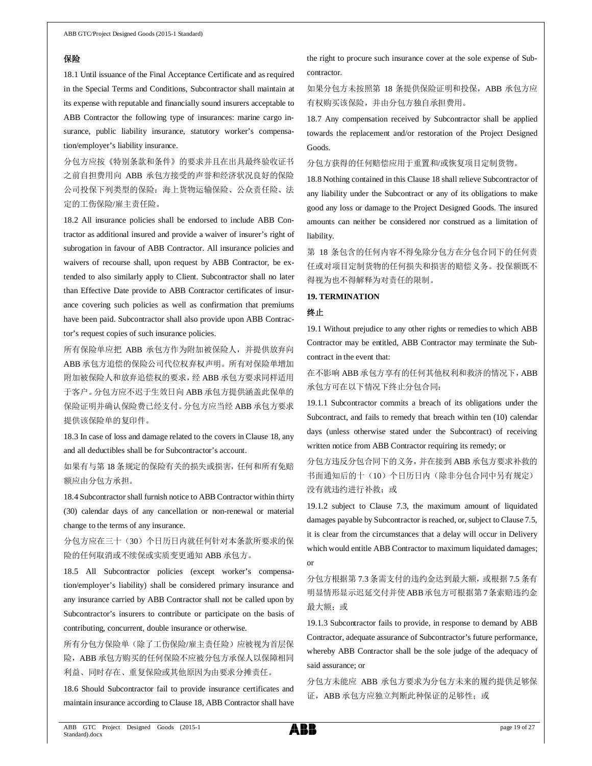### 保险

18.1 Until issuance of the Final Acceptance Certificate and as required in the Special Terms and Conditions, Subcontractor shall maintain at its expense with reputable and financially sound insurers acceptable to ABB Contractor the following type of insurances: marine cargo insurance, public liability insurance, statutory worker's compensation/employer's liability insurance.

分包方应按《特别条款和条件》的要求并且在出具最终验收证书 之前自担费用向 ABB 承包方接受的声誉和经济状况良好的保险 公司投保下列类型的保险:海上货物运输保险、公众责任险、法 定的工伤保险/雇主责任险。

18.2 All insurance policies shall be endorsed to include ABB Contractor as additional insured and provide a waiver of insurer's right of subrogation in favour of ABB Contractor. All insurance policies and waivers of recourse shall, upon request by ABB Contractor, be extended to also similarly apply to Client. Subcontractor shall no later than Effective Date provide to ABB Contractor certificates of insurance covering such policies as well as confirmation that premiums have been paid. Subcontractor shall also provide upon ABB Contractor's request copies of such insurance policies.

所有保险单应把 ABB 承包方作为附加被保险人,并提供放弃向 ABB 承包方追偿的保险公司代位权弃权声明。所有对保险单增加 附加被保险人和放弃追偿权的要求,经 ABB 承包方要求同样适用 于客户。分包方应不迟于生效日向 ABB 承包方提供涵盖此保单的 保险证明并确认保险费已经支付。分包方应当经 ABB 承包方要求 提供该保险单的复印件。

18.3 In case of loss and damage related to the covers in Clause 18, any and all deductibles shall be for Subcontractor's account.

如果有与第 18 条规定的保险有关的损失或损害,任何和所有免赔 额应由分包方承担。

18.4 Subcontractor shall furnish notice to ABB Contractor within thirty (30) calendar days of any cancellation or non-renewal or material change to the terms of any insurance.

分包方应在三十(30)个日历日内就任何针对本条款所要求的保 险的任何取消或不续保或实质变更通知 ABB 承包方。

18.5 All Subcontractor policies (except worker's compensation/employer's liability) shall be considered primary insurance and any insurance carried by ABB Contractor shall not be called upon by Subcontractor's insurers to contribute or participate on the basis of contributing, concurrent, double insurance or otherwise.

所有分包方保险单(除了工伤保险/雇主责任险)应被视为首层保 险, ABB 承包方购买的任何保险不应被分包方承保人以保障相同 利益、同时存在、重复保险或其他原因为由要求分摊责任。

18.6 Should Subcontractor fail to provide insurance certificates and maintain insurance according to Clause 18, ABB Contractor shall have

the right to procure such insurance cover at the sole expense of Subcontractor.

如果分包方未按照第 18 条提供保险证明和投保,ABB 承包方应 有权购买该保险,并由分包方独自承担费用。

18.7 Any compensation received by Subcontractor shall be applied towards the replacement and/or restoration of the Project Designed Goods.

分包方获得的任何赔偿应用于重置和/或恢复项目定制货物。

18.8 Nothing contained in this Clause 18 shall relieve Subcontractor of any liability under the Subcontract or any of its obligations to make good any loss or damage to the Project Designed Goods. The insured amounts can neither be considered nor construed as a limitation of liability.

第 18 条包含的任何内容不得免除分包方在分包合同下的任何责 任或对项目定制货物的任何损失和损害的赔偿义务。投保额既不 得视为也不得解释为对责任的限制。

### **19. TERMINATION**

### 终止

19.1 Without prejudice to any other rights or remedies to which ABB Contractor may be entitled, ABB Contractor may terminate the Subcontract in the event that:

在不影响 ABB 承包方享有的任何其他权利和救济的情况下,ABB 承包方可在以下情况下终止分包合同:

19.1.1 Subcontractor commits a breach of its obligations under the Subcontract, and fails to remedy that breach within ten (10) calendar days (unless otherwise stated under the Subcontract) of receiving written notice from ABB Contractor requiring its remedy; or

分包方违反分包合同下的义务,并在接到 ABB 承包方要求补救的 书面通知后的十(10)个日历日内(除非分包合同中另有规定) 没有就违约进行补救;或

19.1.2 subject to Clause 7.3, the maximum amount of liquidated damages payable by Subcontractor is reached, or, subject to Clause 7.5, it is clear from the circumstances that a delay will occur in Delivery which would entitle ABB Contractor to maximum liquidated damages; or

分包方根据第 7.3 条需支付的违约金达到最大额,或根据 7.5 条有 明显情形显示迟延交付并使ABB承包方可根据第7条索赔违约金 最大额;或

19.1.3 Subcontractor fails to provide, in response to demand by ABB Contractor, adequate assurance of Subcontractor's future performance, whereby ABB Contractor shall be the sole judge of the adequacy of said assurance; or

分包方未能应 ABB 承包方要求为分包方未来的履约提供足够保 证, ABB 承包方应独立判断此种保证的足够性; 或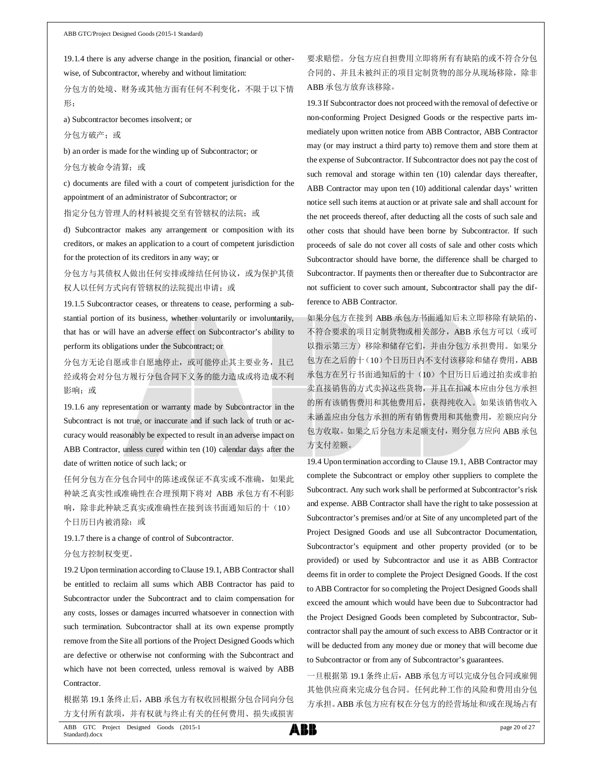19.1.4 there is any adverse change in the position, financial or otherwise, of Subcontractor, whereby and without limitation:

分包方的处境、财务或其他方面有任何不利变化,不限于以下情 形:

a) Subcontractor becomes insolvent; or

分包方破产;或

b) an order is made for the winding up of Subcontractor; or

分包方被命令清算;或

c) documents are filed with a court of competent jurisdiction for the appointment of an administrator of Subcontractor; or

指定分包方管理人的材料被提交至有管辖权的法院;或

d) Subcontractor makes any arrangement or composition with its creditors, or makes an application to a court of competent jurisdiction for the protection of its creditors in any way; or

分包方与其债权人做出任何安排或缔结任何协议,或为保护其债 权人以任何方式向有管辖权的法院提出申请;或

19.1.5 Subcontractor ceases, or threatens to cease, performing a substantial portion of its business, whether voluntarily or involuntarily, that has or will have an adverse effect on Subcontractor's ability to perform its obligations under the Subcontract; or

分包方无论自愿或非自愿地停止,或可能停止其主要业务,且已 经或将会对分包方履行分包合同下义务的能力造成或将造成不利 影响;或

19.1.6 any representation or warranty made by Subcontractor in the Subcontract is not true, or inaccurate and if such lack of truth or accuracy would reasonably be expected to result in an adverse impact on ABB Contractor, unless cured within ten (10) calendar days after the date of written notice of such lack; or

任何分包方在分包合同中的陈述或保证不真实或不准确,如果此 种缺乏真实性或准确性在合理预期下将对 ABB 承包方有不利影 响,除非此种缺乏真实或准确性在接到该书面通知后的十(10) 个日历日内被消除;或

19.1.7 there is a change of control of Subcontractor.

### 分包方控制权变更。

19.2 Upon termination according to Clause 19.1, ABB Contractor shall be entitled to reclaim all sums which ABB Contractor has paid to Subcontractor under the Subcontract and to claim compensation for any costs, losses or damages incurred whatsoever in connection with such termination. Subcontractor shall at its own expense promptly remove from the Site all portions of the Project Designed Goods which are defective or otherwise not conforming with the Subcontract and which have not been corrected, unless removal is waived by ABB Contractor.

根据第 19.1 条终止后, ABB 承包方有权收回根据分包合同向分包 方支付所有款项,并有权就与终止有关的任何费用、损失或损害

要求赔偿。分包方应自担费用立即将所有有缺陷的或不符合分包 合同的、并且未被纠正的项目定制货物的部分从现场移除,除非 ABB 承包方放弃该移除。

19.3 If Subcontractor does not proceed with the removal of defective or non-conforming Project Designed Goods or the respective parts immediately upon written notice from ABB Contractor, ABB Contractor may (or may instruct a third party to) remove them and store them at the expense of Subcontractor. If Subcontractor does not pay the cost of such removal and storage within ten (10) calendar days thereafter, ABB Contractor may upon ten (10) additional calendar days' written notice sell such items at auction or at private sale and shall account for the net proceeds thereof, after deducting all the costs of such sale and other costs that should have been borne by Subcontractor. If such proceeds of sale do not cover all costs of sale and other costs which Subcontractor should have borne, the difference shall be charged to Subcontractor. If payments then or thereafter due to Subcontractor are not sufficient to cover such amount, Subcontractor shall pay the difference to ABB Contractor.

如果分包方在接到 ABB 承包方书面通知后未立即移除有缺陷的、 不符合要求的项目定制货物或相关部分, ABB 承包方可以(或可 以指示第三方)移除和储存它们,并由分包方承担费用。如果分 包方在之后的十(10)个日历日内不支付该移除和储存费用,ABB 承包方在另行书面通知后的十(10)个日历日后通过拍卖或非拍 卖直接销售的方式卖掉这些货物,并且在扣减本应由分包方承担 的所有该销售费用和其他费用后,获得纯收入。如果该销售收入 未涵盖应由分包方承担的所有销售费用和其他费用,差额应向分 包方收取。如果之后分包方未足额支付,则分包方应向 ABB 承包 方支付差额。

19.4 Upon termination according to Clause 19.1, ABB Contractor may complete the Subcontract or employ other suppliers to complete the Subcontract. Any such work shall be performed at Subcontractor's risk and expense. ABB Contractor shall have the right to take possession at Subcontractor's premises and/or at Site of any uncompleted part of the Project Designed Goods and use all Subcontractor Documentation, Subcontractor's equipment and other property provided (or to be provided) or used by Subcontractor and use it as ABB Contractor deems fit in order to complete the Project Designed Goods. If the cost to ABB Contractor for so completing the Project Designed Goods shall exceed the amount which would have been due to Subcontractor had the Project Designed Goods been completed by Subcontractor, Subcontractor shall pay the amount of such excess to ABB Contractor or it will be deducted from any money due or money that will become due to Subcontractor or from any of Subcontractor's guarantees.

一旦根据第 19.1 条终止后,ABB 承包方可以完成分包合同或雇佣 其他供应商来完成分包合同。任何此种工作的风险和费用由分包 方承担。ABB 承包方应有权在分包方的经营场址和/或在现场占有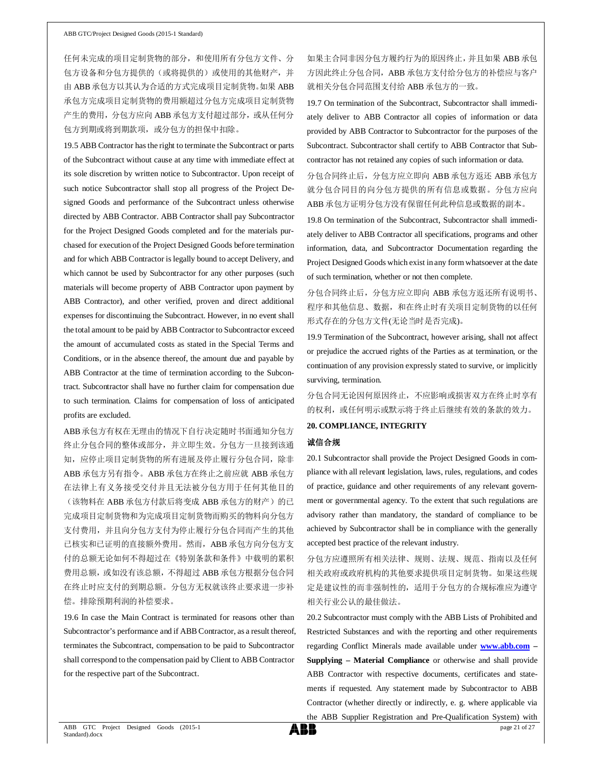任何未完成的项目定制货物的部分,和使用所有分包方文件、分 包方设备和分包方提供的(或将提供的)或使用的其他财产,并 由 ABB 承包方以其认为合适的方式完成项目定制货物。如果 ABB 承包方完成项目定制货物的费用额超过分包方完成项目定制货物 产生的费用,分包方应向 ABB 承包方支付超过部分,或从任何分 包方到期或将到期款项,或分包方的担保中扣除。

19.5 ABB Contractor has the right to terminate the Subcontract or parts of the Subcontract without cause at any time with immediate effect at its sole discretion by written notice to Subcontractor. Upon receipt of such notice Subcontractor shall stop all progress of the Project Designed Goods and performance of the Subcontract unless otherwise directed by ABB Contractor. ABB Contractor shall pay Subcontractor for the Project Designed Goods completed and for the materials purchased for execution of the Project Designed Goods before termination and for which ABB Contractor is legally bound to accept Delivery, and which cannot be used by Subcontractor for any other purposes (such materials will become property of ABB Contractor upon payment by ABB Contractor), and other verified, proven and direct additional expenses for discontinuing the Subcontract. However, in no event shall the total amount to be paid by ABB Contractor to Subcontractor exceed the amount of accumulated costs as stated in the Special Terms and Conditions, or in the absence thereof, the amount due and payable by ABB Contractor at the time of termination according to the Subcontract. Subcontractor shall have no further claim for compensation due to such termination. Claims for compensation of loss of anticipated profits are excluded.

ABB 承包方有权在无理由的情况下自行决定随时书面通知分包方 终止分包合同的整体或部分,并立即生效。分包方一旦接到该通 知,应停止项目定制货物的所有进展及停止履行分包合同,除非 ABB 承包方另有指令。ABB 承包方在终止之前应就 ABB 承包方 在法律上有义务接受交付并且无法被分包方用于任何其他目的 (该物料在 ABB 承包方付款后将变成 ABB 承包方的财产)的已 完成项目定制货物和为完成项目定制货物而购买的物料向分包方 支付费用,并且向分包方支付为停止履行分包合同而产生的其他 已核实和已证明的直接额外费用。然而,ABB 承包方向分包方支 付的总额无论如何不得超过在《特别条款和条件》中载明的累积 费用总额, 或如没有该总额, 不得超过 ABB 承包方根据分包合同 在终止时应支付的到期总额。分包方无权就该终止要求进一步补 偿。排除预期利润的补偿要求。

19.6 In case the Main Contract is terminated for reasons other than Subcontractor's performance and if ABB Contractor, as a result thereof, terminates the Subcontract, compensation to be paid to Subcontractor shall correspond to the compensation paid by Client to ABB Contractor for the respective part of the Subcontract.

如果主合同非因分包方履约行为的原因终止,并且如果 ABB 承包 方因此终止分包合同, ABB 承包方支付给分包方的补偿应与客户 就相关分包合同范围支付给 ABB 承包方的一致。

19.7 On termination of the Subcontract, Subcontractor shall immediately deliver to ABB Contractor all copies of information or data provided by ABB Contractor to Subcontractor for the purposes of the Subcontract. Subcontractor shall certify to ABB Contractor that Subcontractor has not retained any copies of such information or data.

分包合同终止后,分包方应立即向 ABB 承包方返还 ABB 承包方 就分包合同目的向分包方提供的所有信息或数据。分包方应向 ABB 承包方证明分包方没有保留任何此种信息或数据的副本。

19.8 On termination of the Subcontract, Subcontractor shall immediately deliver to ABB Contractor all specifications, programs and other information, data, and Subcontractor Documentation regarding the Project Designed Goods which exist in any form whatsoever at the date of such termination, whether or not then complete.

分包合同终止后,分包方应立即向 ABB 承包方返还所有说明书、 程序和其他信息、数据,和在终止时有关项目定制货物的以任何 形式存在的分包方文件(无论当时是否完成)。

19.9 Termination of the Subcontract, however arising, shall not affect or prejudice the accrued rights of the Parties as at termination, or the continuation of any provision expressly stated to survive, or implicitly surviving, termination.

分包合同无论因何原因终止,不应影响或损害双方在终止时享有 的权利,或任何明示或默示将于终止后继续有效的条款的效力。

### **20. COMPLIANCE, INTEGRITY**

### 诚信合规

20.1 Subcontractor shall provide the Project Designed Goods in compliance with all relevant legislation, laws, rules, regulations, and codes of practice, guidance and other requirements of any relevant government or governmental agency. To the extent that such regulations are advisory rather than mandatory, the standard of compliance to be achieved by Subcontractor shall be in compliance with the generally accepted best practice of the relevant industry.

分包方应遵照所有相关法律、规则、法规、规范、指南以及任何 相关政府或政府机构的其他要求提供项目定制货物。如果这些规 定是建议性的而非强制性的,适用于分包方的合规标准应为遵守 相关行业公认的最佳做法。

20.2 Subcontractor must comply with the ABB Lists of Prohibited and Restricted Substances and with the reporting and other requirements regarding Conflict Minerals made available under **www.abb.com – Supplying – Material Compliance** or otherwise and shall provide ABB Contractor with respective documents, certificates and statements if requested. Any statement made by Subcontractor to ABB Contractor (whether directly or indirectly, e. g. where applicable via the ABB Supplier Registration and Pre-Qualification System) with

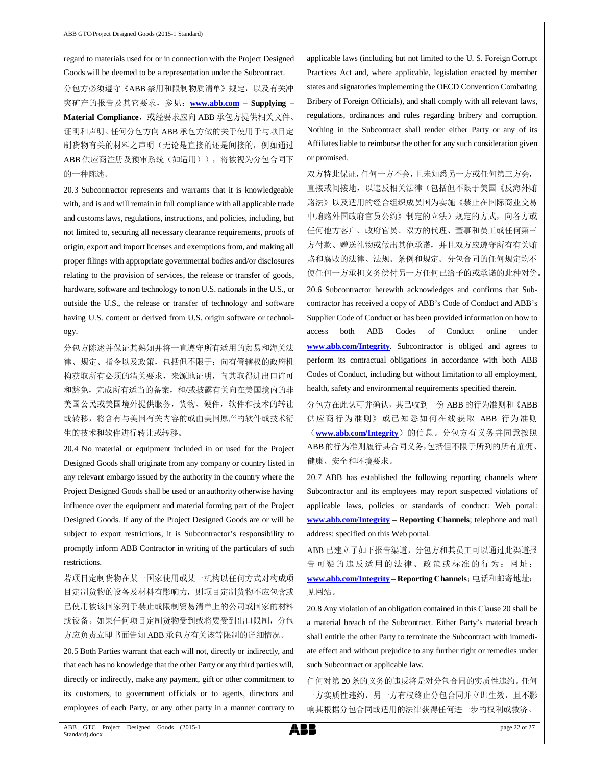regard to materials used for or in connection with the Project Designed Goods will be deemed to be a representation under the Subcontract.

分包方必须遵守《ABB 禁用和限制物质清单》规定,以及有关冲 突矿产的报告及其它要求,参见:**www.abb.com – Supplying –** Material Compliance, 或经要求应向 ABB 承包方提供相关文件、 证明和声明。任何分包方向 ABB 承包方做的关于使用于与项目定 制货物有关的材料之声明(无论是直接的还是间接的,例如通过 ABB 供应商注册及预审系统(如适用)),将被视为分包合同下 的一种陈述。

20.3 Subcontractor represents and warrants that it is knowledgeable with, and is and will remain in full compliance with all applicable trade and customs laws, regulations, instructions, and policies, including, but not limited to, securing all necessary clearance requirements, proofs of origin, export and import licenses and exemptions from, and making all proper filings with appropriate governmental bodies and/or disclosures relating to the provision of services, the release or transfer of goods, hardware, software and technology to non U.S. nationals in the U.S., or outside the U.S., the release or transfer of technology and software having U.S. content or derived from U.S. origin software or technology.

分包方陈述并保证其熟知并将一直遵守所有适用的贸易和海关法 律、规定、指令以及政策,包括但不限于:向有管辖权的政府机 构获取所有必须的清关要求,来源地证明,向其取得进出口许可 和豁免,完成所有适当的备案,和/或披露有关向在美国境内的非 美国公民或美国境外提供服务,货物、硬件,软件和技术的转让 或转移,将含有与美国有关内容的或由美国原产的软件或技术衍 生的技术和软件进行转让或转移。

20.4 No material or equipment included in or used for the Project Designed Goods shall originate from any company or country listed in any relevant embargo issued by the authority in the country where the Project Designed Goods shall be used or an authority otherwise having influence over the equipment and material forming part of the Project Designed Goods. If any of the Project Designed Goods are or will be subject to export restrictions, it is Subcontractor's responsibility to promptly inform ABB Contractor in writing of the particulars of such restrictions.

若项目定制货物在某一国家使用或某一机构以任何方式对构成项 目定制货物的设备及材料有影响力,则项目定制货物不应包含或 已使用被该国家列于禁止或限制贸易清单上的公司或国家的材料 或设备。如果任何项目定制货物受到或将要受到出口限制,分包 方应负责立即书面告知 ABB 承包方有关该等限制的详细情况。

20.5 Both Parties warrant that each will not, directly or indirectly, and that each has no knowledge that the other Party or any third parties will, directly or indirectly, make any payment, gift or other commitment to its customers, to government officials or to agents, directors and employees of each Party, or any other party in a manner contrary to

applicable laws (including but not limited to the U. S. Foreign Corrupt Practices Act and, where applicable, legislation enacted by member states and signatories implementing the OECD Convention Combating Bribery of Foreign Officials), and shall comply with all relevant laws, regulations, ordinances and rules regarding bribery and corruption. Nothing in the Subcontract shall render either Party or any of its Affiliates liable to reimburse the other for any such consideration given or promised.

双方特此保证,任何一方不会,且未知悉另一方或任何第三方会, 直接或间接地,以违反相关法律(包括但不限于美国《反海外贿 赂法》以及适用的经合组织成员国为实施《禁止在国际商业交易 中贿赂外国政府官员公约》制定的立法)规定的方式,向各方或 任何他方客户、政府官员、双方的代理、董事和员工或任何第三 方付款、赠送礼物或做出其他承诺,并且双方应遵守所有有关贿 赂和腐败的法律、法规、条例和规定。分包合同的任何规定均不 使任何一方承担义务偿付另一方任何已给予的或承诺的此种对价。 20.6 Subcontractor herewith acknowledges and confirms that Subcontractor has received a copy of ABB's Code of Conduct and ABB's Supplier Code of Conduct or has been provided information on how to access both ABB Codes of Conduct online under **www.abb.com/Integrity**. Subcontractor is obliged and agrees to perform its contractual obligations in accordance with both ABB Codes of Conduct, including but without limitation to all employment, health, safety and environmental requirements specified therein.

分包方在此认可并确认,其已收到一份 ABB 的行为准则和《ABB 供应商行为准则》或已知悉如何在线获取 ABB 行为准则 (www.abb.com/Integrity)的信息。分包方有义务并同意按照 ABB的行为准则履行其合同义务,包括但不限于所列的所有雇佣、 健康、安全和环境要求。

20.7 ABB has established the following reporting channels where Subcontractor and its employees may report suspected violations of applicable laws, policies or standards of conduct: Web portal: **www.abb.com/Integrity – Reporting Channels**; telephone and mail address: specified on this Web portal.

ABB 已建立了如下报告渠道,分包方和其员工可以通过此渠道报 告可疑的违反适用的法律、政策或标准的行为:网址: **www.abb.com/Integrity – Reporting Channels**;电话和邮寄地址: 见网站。

20.8 Any violation of an obligation contained in this Clause 20 shall be a material breach of the Subcontract. Either Party's material breach shall entitle the other Party to terminate the Subcontract with immediate effect and without prejudice to any further right or remedies under such Subcontract or applicable law.

任何对第 20 条的义务的违反将是对分包合同的实质性违约。任何 一方实质性违约,另一方有权终止分包合同并立即生效,且不影 响其根据分包合同或适用的法律获得任何进一步的权利或救济。

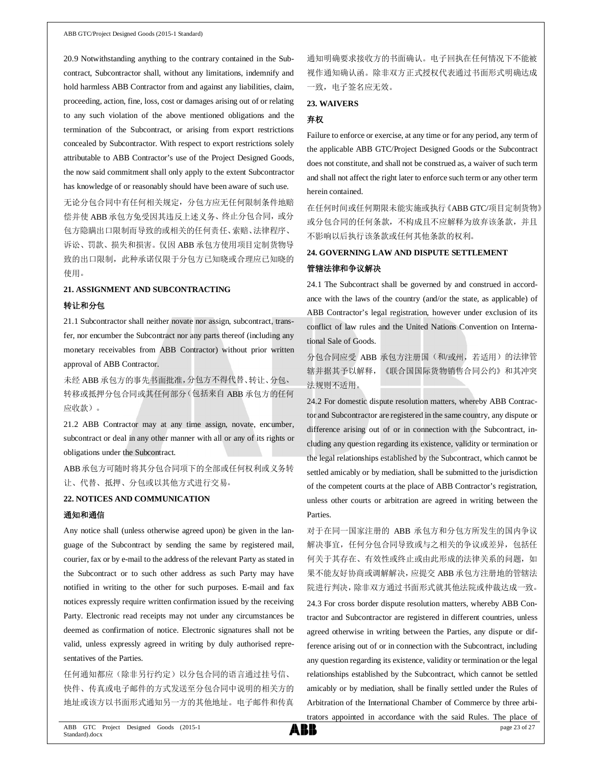20.9 Notwithstanding anything to the contrary contained in the Subcontract, Subcontractor shall, without any limitations, indemnify and hold harmless ABB Contractor from and against any liabilities, claim, proceeding, action, fine, loss, cost or damages arising out of or relating to any such violation of the above mentioned obligations and the termination of the Subcontract, or arising from export restrictions concealed by Subcontractor. With respect to export restrictions solely attributable to ABB Contractor's use of the Project Designed Goods, the now said commitment shall only apply to the extent Subcontractor has knowledge of or reasonably should have been aware of such use.

无论分包合同中有任何相关规定,分包方应无任何限制条件地赔 偿并使 ABB 承包方免受因其违反上述义务、终止分包合同, 或分 包方隐瞒出口限制而导致的或相关的任何责任、索赔、法律程序、 诉讼、罚款、损失和损害。仅因 ABB 承包方使用项目定制货物导 致的出口限制, 此种承诺仅限于分包方已知晓或合理应已知晓的 使用。

#### **21. ASSIGNMENT AND SUBCONTRACTING**

#### 转让和分包

21.1 Subcontractor shall neither novate nor assign, subcontract, transfer, nor encumber the Subcontract nor any parts thereof (including any monetary receivables from ABB Contractor) without prior written approval of ABB Contractor.

未经 ABB 承包方的事先书面批准,分包方不得代替、转让、分包、 转移或抵押分包合同或其任何部分(包括来自 ABB 承包方的任何 应收款)。

21.2 ABB Contractor may at any time assign, novate, encumber, subcontract or deal in any other manner with all or any of its rights or obligations under the Subcontract.

ABB承包方可随时将其分包合同项下的全部或任何权利或义务转 让、代替、抵押、分包或以其他方式进行交易。

#### **22. NOTICES AND COMMUNICATION**

#### 通知和通信

Any notice shall (unless otherwise agreed upon) be given in the language of the Subcontract by sending the same by registered mail, courier, fax or by e-mail to the address of the relevant Party as stated in the Subcontract or to such other address as such Party may have notified in writing to the other for such purposes. E-mail and fax notices expressly require written confirmation issued by the receiving Party. Electronic read receipts may not under any circumstances be deemed as confirmation of notice. Electronic signatures shall not be valid, unless expressly agreed in writing by duly authorised representatives of the Parties.

任何通知都应(除非另行约定)以分包合同的语言通过挂号信、 快件、传真或电子邮件的方式发送至分包合同中说明的相关方的 地址或该方以书面形式通知另一方的其他地址。电子邮件和传真

通知明确要求接收方的书面确认。电子回执在任何情况下不能被 视作通知确认函。除非双方正式授权代表通过书面形式明确达成 一致,电子签名应无效。

#### **23. WAIVERS**

### 弃权

Failure to enforce or exercise, at any time or for any period, any term of the applicable ABB GTC/Project Designed Goods or the Subcontract does not constitute, and shall not be construed as, a waiver of such term and shall not affect the right later to enforce such term or any other term herein contained.

在任何时间或任何期限未能实施或执行《ABB GTC/项目定制货物》 或分包合同的任何条款,不构成且不应解释为放弃该条款,并且 不影响以后执行该条款或任何其他条款的权利。

# **24. GOVERNING LAW AND DISPUTE SETTLEMENT** 管辖法律和争议解决

24.1 The Subcontract shall be governed by and construed in accordance with the laws of the country (and/or the state, as applicable) of ABB Contractor's legal registration, however under exclusion of its conflict of law rules and the United Nations Convention on International Sale of Goods.

分包合同应受 ABB 承包方注册国(和/或州,若适用)的法律管 辖并据其予以解释,《联合国国际货物销售合同公约》和其冲突 法规则不适用。

24.2 For domestic dispute resolution matters, whereby ABB Contractor and Subcontractor are registered in the same country, any dispute or difference arising out of or in connection with the Subcontract, including any question regarding its existence, validity or termination or the legal relationships established by the Subcontract, which cannot be settled amicably or by mediation, shall be submitted to the jurisdiction of the competent courts at the place of ABB Contractor's registration, unless other courts or arbitration are agreed in writing between the Parties.

对于在同一国家注册的 ABB 承包方和分包方所发生的国内争议 解决事宜,任何分包合同导致或与之相关的争议或差异,包括任 何关于其存在、有效性或终止或由此形成的法律关系的问题,如 果不能友好协商或调解解决,应提交 ABB 承包方注册地的管辖法 院进行判决,除非双方通过书面形式就其他法院或仲裁达成一致。

24.3 For cross border dispute resolution matters, whereby ABB Contractor and Subcontractor are registered in different countries, unless agreed otherwise in writing between the Parties, any dispute or difference arising out of or in connection with the Subcontract, including any question regarding its existence, validity or termination or the legal relationships established by the Subcontract, which cannot be settled amicably or by mediation, shall be finally settled under the Rules of Arbitration of the International Chamber of Commerce by three arbitrators appointed in accordance with the said Rules. The place of

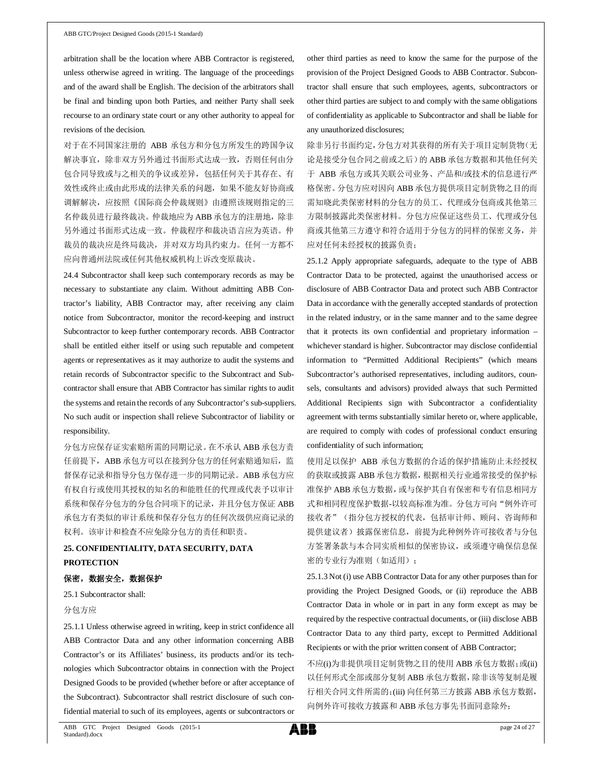arbitration shall be the location where ABB Contractor is registered, unless otherwise agreed in writing. The language of the proceedings and of the award shall be English. The decision of the arbitrators shall be final and binding upon both Parties, and neither Party shall seek recourse to an ordinary state court or any other authority to appeal for revisions of the decision.

对于在不同国家注册的 ABB 承包方和分包方所发生的跨国争议 解决事宜,除非双方另外通过书面形式达成一致,否则任何由分 包合同导致或与之相关的争议或差异,包括任何关于其存在、有 效性或终止或由此形成的法律关系的问题,如果不能友好协商或 调解解决,应按照《国际商会仲裁规则》由遵照该规则指定的三 名仲裁员进行最终裁决。仲裁地应为 ABB 承包方的注册地,除非 另外通过书面形式达成一致。仲裁程序和裁决语言应为英语。仲 裁员的裁决应是终局裁决,并对双方均具约束力。任何一方都不 应向普通州法院或任何其他权威机构上诉改变原裁决。

24.4 Subcontractor shall keep such contemporary records as may be necessary to substantiate any claim. Without admitting ABB Contractor's liability, ABB Contractor may, after receiving any claim notice from Subcontractor, monitor the record-keeping and instruct Subcontractor to keep further contemporary records. ABB Contractor shall be entitled either itself or using such reputable and competent agents or representatives as it may authorize to audit the systems and retain records of Subcontractor specific to the Subcontract and Subcontractor shall ensure that ABB Contractor has similar rights to audit the systems and retain the records of any Subcontractor's sub-suppliers. No such audit or inspection shall relieve Subcontractor of liability or responsibility.

分包方应保存证实索赔所需的同期记录。在不承认 ABB 承包方责 任前提下, ABB 承包方可以在接到分包方的任何索赔通知后, 监 督保存记录和指导分包方保存进一步的同期记录。ABB 承包方应 有权自行或使用其授权的知名的和能胜任的代理或代表予以审计 系统和保存分包方的分包合同项下的记录,并且分包方保证 ABB 承包方有类似的审计系统和保存分包方的任何次级供应商记录的 权利。该审计和检查不应免除分包方的责任和职责。

# **25. CONFIDENTIALITY, DATA SECURITY, DATA PROTECTION**

#### 保密,数据安全,数据保护

25.1 Subcontractor shall:

#### 分包方应

25.1.1 Unless otherwise agreed in writing, keep in strict confidence all ABB Contractor Data and any other information concerning ABB Contractor's or its Affiliates' business, its products and/or its technologies which Subcontractor obtains in connection with the Project Designed Goods to be provided (whether before or after acceptance of the Subcontract). Subcontractor shall restrict disclosure of such confidential material to such of its employees, agents or subcontractors or

other third parties as need to know the same for the purpose of the provision of the Project Designed Goods to ABB Contractor. Subcontractor shall ensure that such employees, agents, subcontractors or other third parties are subject to and comply with the same obligations of confidentiality as applicable to Subcontractor and shall be liable for any unauthorized disclosures;

除非另行书面约定,分包方对其获得的所有关于项目定制货物(无 论是接受分包合同之前或之后)的 ABB 承包方数据和其他任何关 于 ABB 承包方或其关联公司业务、产品和/或技术的信息进行严 格保密。分包方应对因向 ABB 承包方提供项目定制货物之目的而 需知晓此类保密材料的分包方的员工、代理或分包商或其他第三 方限制披露此类保密材料。分包方应保证这些员工、代理或分包 商或其他第三方遵守和符合适用于分包方的同样的保密义务,并 应对任何未经授权的披露负责;

25.1.2 Apply appropriate safeguards, adequate to the type of ABB Contractor Data to be protected, against the unauthorised access or disclosure of ABB Contractor Data and protect such ABB Contractor Data in accordance with the generally accepted standards of protection in the related industry, or in the same manner and to the same degree that it protects its own confidential and proprietary information – whichever standard is higher. Subcontractor may disclose confidential information to "Permitted Additional Recipients" (which means Subcontractor's authorised representatives, including auditors, counsels, consultants and advisors) provided always that such Permitted Additional Recipients sign with Subcontractor a confidentiality agreement with terms substantially similar hereto or, where applicable, are required to comply with codes of professional conduct ensuring confidentiality of such information;

使用足以保护 ABB 承包方数据的合适的保护措施防止未经授权 的获取或披露 ABB 承包方数据,根据相关行业通常接受的保护标 准保护 ABB 承包方数据,或与保护其自有保密和专有信息相同方 式和相同程度保护数据-以较高标准为准。分包方可向"例外许可 接收者"(指分包方授权的代表,包括审计师、顾问、咨询师和 提供建议者)披露保密信息,前提为此种例外许可接收者与分包 方签署条款与本合同实质相似的保密协议,或须遵守确保信息保 密的专业行为准则(如适用);

25.1.3 Not (i) use ABB Contractor Data for any other purposes than for providing the Project Designed Goods, or (ii) reproduce the ABB Contractor Data in whole or in part in any form except as may be required by the respective contractual documents, or (iii) disclose ABB Contractor Data to any third party, except to Permitted Additional Recipients or with the prior written consent of ABB Contractor;

不应(i)为非提供项目定制货物之目的使用 ABB 承包方数据;或(ii) 以任何形式全部或部分复制 ABB 承包方数据,除非该等复制是履 行相关合同文件所需的;(iii) 向任何第三方披露 ABB 承包方数据, 向例外许可接收方披露和 ABB 承包方事先书面同意除外;

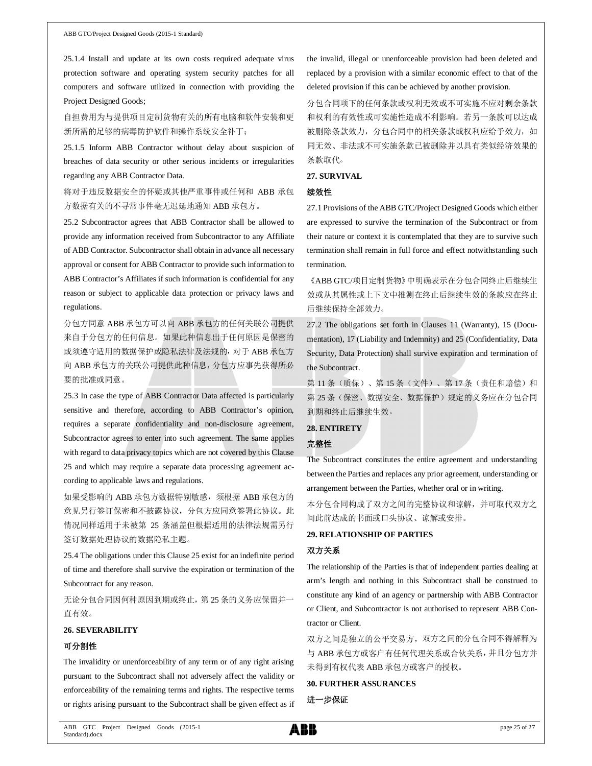25.1.4 Install and update at its own costs required adequate virus protection software and operating system security patches for all computers and software utilized in connection with providing the Project Designed Goods;

自担费用为与提供项目定制货物有关的所有电脑和软件安装和更 新所需的足够的病毒防护软件和操作系统安全补丁;

25.1.5 Inform ABB Contractor without delay about suspicion of breaches of data security or other serious incidents or irregularities regarding any ABB Contractor Data.

将对于违反数据安全的怀疑或其他严重事件或任何和 ABB 承包 方数据有关的不寻常事件毫无迟延地通知 ABB 承包方。

25.2 Subcontractor agrees that ABB Contractor shall be allowed to provide any information received from Subcontractor to any Affiliate of ABB Contractor. Subcontractor shall obtain in advance all necessary approval or consent for ABB Contractor to provide such information to ABB Contractor's Affiliates if such information is confidential for any reason or subject to applicable data protection or privacy laws and regulations.

分包方同意 ABB 承包方可以向 ABB 承包方的任何关联公司提供 来自于分包方的任何信息。如果此种信息出于任何原因是保密的 或须遵守适用的数据保护或隐私法律及法规的,对于 ABB 承包方 向 ABB 承包方的关联公司提供此种信息,分包方应事先获得所必 要的批准或同意。

25.3 In case the type of ABB Contractor Data affected is particularly sensitive and therefore, according to ABB Contractor's opinion, requires a separate confidentiality and non-disclosure agreement, Subcontractor agrees to enter into such agreement. The same applies with regard to data privacy topics which are not covered by this Clause 25 and which may require a separate data processing agreement according to applicable laws and regulations.

如果受影响的 ABB 承包方数据特别敏感,须根据 ABB 承包方的 意见另行签订保密和不披露协议,分包方应同意签署此协议。此 情况同样适用于未被第 25 条涵盖但根据适用的法律法规需另行 签订数据处理协议的数据隐私主题。

25.4 The obligations under this Clause 25 exist for an indefinite period of time and therefore shall survive the expiration or termination of the Subcontract for any reason.

无论分包合同因何种原因到期或终止,第 25 条的义务应保留并一 直有效。

### **26. SEVERABILITY**

### 可分割性

The invalidity or unenforceability of any term or of any right arising pursuant to the Subcontract shall not adversely affect the validity or enforceability of the remaining terms and rights. The respective terms or rights arising pursuant to the Subcontract shall be given effect as if

the invalid, illegal or unenforceable provision had been deleted and replaced by a provision with a similar economic effect to that of the deleted provision if this can be achieved by another provision.

分包合同项下的任何条款或权利无效或不可实施不应对剩余条款 和权利的有效性或可实施性造成不利影响。若另一条款可以达成 被删除条款效力,分包合同中的相关条款或权利应给予效力,如 同无效、非法或不可实施条款已被删除并以具有类似经济效果的 条款取代。

### **27. SURVIVAL**

### 续效性

27.1 Provisions of the ABB GTC/Project Designed Goods which either are expressed to survive the termination of the Subcontract or from their nature or context it is contemplated that they are to survive such termination shall remain in full force and effect notwithstanding such termination.

《ABB GTC/项目定制货物》中明确表示在分包合同终止后继续生 效或从其属性或上下文中推测在终止后继续生效的条款应在终止 后继续保持全部效力。

27.2 The obligations set forth in Clauses 11 (Warranty), 15 (Documentation), 17 (Liability and Indemnity) and 25 (Confidentiality, Data Security, Data Protection) shall survive expiration and termination of the Subcontract.

第11条(质保)、第15条(文件)、第17条(责任和赔偿)和 第 25 条(保密、数据安全、数据保护)规定的义务应在分包合同 到期和终止后继续生效。

#### **28. ENTIRETY**

#### 完整性

The Subcontract constitutes the entire agreement and understanding between the Parties and replaces any prior agreement, understanding or arrangement between the Parties, whether oral or in writing.

本分包合同构成了双方之间的完整协议和谅解,并可取代双方之 间此前达成的书面或口头协议、谅解或安排。

### **29. RELATIONSHIP OF PARTIES**

### 双方关系

The relationship of the Parties is that of independent parties dealing at arm's length and nothing in this Subcontract shall be construed to constitute any kind of an agency or partnership with ABB Contractor or Client, and Subcontractor is not authorised to represent ABB Contractor or Client.

双方之间是独立的公平交易方,双方之间的分包合同不得解释为 与 ABB 承包方或客户有任何代理关系或合伙关系,并且分包方并 未得到有权代表 ABB 承包方或客户的授权。

### **30. FURTHER ASSURANCES**

进一步保证